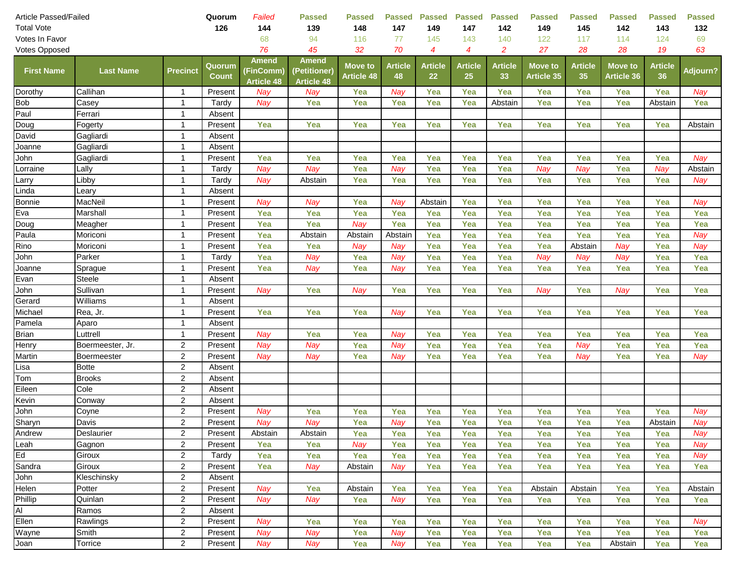| 126<br><b>Total Vote</b><br>144<br>139<br>148<br>147<br>149<br>147<br>142<br>149<br>145<br>145<br>Votes In Favor<br>94<br>116<br>77<br>143<br>140<br>122<br>117<br>114<br>68<br>45<br>70<br>27<br>76<br>32<br>4<br>$\overline{2}$<br>28<br>28<br>Votes Opposed<br>4<br><b>Amend</b><br><b>Amend</b><br><b>Article</b><br><b>Article</b><br><b>Article</b><br><b>Move to</b><br><b>Article</b><br><b>Article</b><br>Quorum<br><b>Move to</b><br><b>Move to</b><br><b>First Name</b><br><b>Last Name</b><br><b>Precinct</b><br>(Petitioner)<br>(FinComm)<br><b>Count</b><br><b>Article 48</b><br>48<br>22<br>25<br><b>Article 35</b><br>35<br><b>Article 36</b><br>33<br><b>Article 48</b><br><b>Article 48</b><br>Dorothy<br>Callihan<br>Present<br>Nay<br>Nay<br>Yea<br>Nay<br>Yea<br>Yea<br>Yea<br>Yea<br>Yea<br>Yea<br>$\mathbf 1$<br><b>Bob</b><br>Casey<br>Yea<br>Yea<br>Yea<br>Tardy<br>Nay<br>Yea<br>Yea<br>Abstain<br>Yea<br>Yea<br>$\mathbf 1$<br>Paul<br>Ferrari<br>1<br>Absent<br>Yea<br>Yea<br>Fogerty<br>Present<br>Yea<br>Yea<br>Yea<br>Yea<br>Yea<br>Yea<br>Yea<br>1<br>David<br>Gagliardi<br>Absent<br>1 | 142<br>143<br>132<br>124<br>69<br>19<br>63<br><b>Article</b><br><b>Adjourn?</b><br>36<br>Yea<br>Nay<br>Yea<br>Yea<br>Abstain<br>Yea<br>Yea<br>Abstain |
|-------------------------------------------------------------------------------------------------------------------------------------------------------------------------------------------------------------------------------------------------------------------------------------------------------------------------------------------------------------------------------------------------------------------------------------------------------------------------------------------------------------------------------------------------------------------------------------------------------------------------------------------------------------------------------------------------------------------------------------------------------------------------------------------------------------------------------------------------------------------------------------------------------------------------------------------------------------------------------------------------------------------------------------------------------------------------------------------------------------------------|-------------------------------------------------------------------------------------------------------------------------------------------------------|
|                                                                                                                                                                                                                                                                                                                                                                                                                                                                                                                                                                                                                                                                                                                                                                                                                                                                                                                                                                                                                                                                                                                         |                                                                                                                                                       |
|                                                                                                                                                                                                                                                                                                                                                                                                                                                                                                                                                                                                                                                                                                                                                                                                                                                                                                                                                                                                                                                                                                                         |                                                                                                                                                       |
|                                                                                                                                                                                                                                                                                                                                                                                                                                                                                                                                                                                                                                                                                                                                                                                                                                                                                                                                                                                                                                                                                                                         |                                                                                                                                                       |
| Doug                                                                                                                                                                                                                                                                                                                                                                                                                                                                                                                                                                                                                                                                                                                                                                                                                                                                                                                                                                                                                                                                                                                    |                                                                                                                                                       |
|                                                                                                                                                                                                                                                                                                                                                                                                                                                                                                                                                                                                                                                                                                                                                                                                                                                                                                                                                                                                                                                                                                                         |                                                                                                                                                       |
|                                                                                                                                                                                                                                                                                                                                                                                                                                                                                                                                                                                                                                                                                                                                                                                                                                                                                                                                                                                                                                                                                                                         |                                                                                                                                                       |
|                                                                                                                                                                                                                                                                                                                                                                                                                                                                                                                                                                                                                                                                                                                                                                                                                                                                                                                                                                                                                                                                                                                         |                                                                                                                                                       |
|                                                                                                                                                                                                                                                                                                                                                                                                                                                                                                                                                                                                                                                                                                                                                                                                                                                                                                                                                                                                                                                                                                                         |                                                                                                                                                       |
|                                                                                                                                                                                                                                                                                                                                                                                                                                                                                                                                                                                                                                                                                                                                                                                                                                                                                                                                                                                                                                                                                                                         |                                                                                                                                                       |
| Joanne<br>1<br>Absent<br>Gagliardi                                                                                                                                                                                                                                                                                                                                                                                                                                                                                                                                                                                                                                                                                                                                                                                                                                                                                                                                                                                                                                                                                      |                                                                                                                                                       |
| John<br>Yea<br>Yea<br>Yea<br>Yea<br>Yea<br>Gagliardi<br>$\mathbf{1}$<br>Present<br>Yea<br>Yea<br>Yea<br>Yea                                                                                                                                                                                                                                                                                                                                                                                                                                                                                                                                                                                                                                                                                                                                                                                                                                                                                                                                                                                                             | Yea<br>Yea<br>Nay                                                                                                                                     |
| Yea<br>Nay<br>Yea<br>Lorraine<br>Lally<br>$\mathbf 1$<br>Nay<br>Nay<br>Yea<br>Yea<br>Nay<br>Nay<br>Tardy                                                                                                                                                                                                                                                                                                                                                                                                                                                                                                                                                                                                                                                                                                                                                                                                                                                                                                                                                                                                                | Yea<br>Nay<br>Abstain                                                                                                                                 |
| Libby<br>Tardy<br>Abstain<br>Yea<br>Larry<br>1<br>Nay<br>Yea<br>Yea<br>Yea<br>Yea<br>Yea<br>Yea                                                                                                                                                                                                                                                                                                                                                                                                                                                                                                                                                                                                                                                                                                                                                                                                                                                                                                                                                                                                                         | Yea<br>Yea<br>Nay                                                                                                                                     |
| Linda<br>Absent<br>Leary<br>1                                                                                                                                                                                                                                                                                                                                                                                                                                                                                                                                                                                                                                                                                                                                                                                                                                                                                                                                                                                                                                                                                           |                                                                                                                                                       |
| <b>Bonnie</b><br>Yea<br>Yea<br>MacNeil<br>Present<br>Nay<br>Nay<br>Nay<br>Abstain<br>Yea<br>Yea<br>Yea<br>1                                                                                                                                                                                                                                                                                                                                                                                                                                                                                                                                                                                                                                                                                                                                                                                                                                                                                                                                                                                                             | Yea<br>Yea<br>Nay                                                                                                                                     |
| Eva<br>Yea<br>Yea<br>Yea<br>Yea<br>Yea<br>Yea<br>Yea<br>Yea<br>Marshall<br>Present<br>Yea<br>1                                                                                                                                                                                                                                                                                                                                                                                                                                                                                                                                                                                                                                                                                                                                                                                                                                                                                                                                                                                                                          | Yea<br>Yea<br>Yea                                                                                                                                     |
| Doug<br>Yea<br>Nay<br>Yea<br>Meagher<br>$\mathbf{1}$<br>Present<br>Yea<br>Yea<br>Yea<br>Yea<br>Yea<br>Yea                                                                                                                                                                                                                                                                                                                                                                                                                                                                                                                                                                                                                                                                                                                                                                                                                                                                                                                                                                                                               | Yea<br>Yea<br>Yea                                                                                                                                     |
| Paula<br>Yea<br>Yea<br>Yea<br>Abstain<br>Yea<br>Yea<br>Yea<br>Yea<br>Moriconi<br>$\mathbf{1}$<br>Present<br>Abstain<br>Abstain                                                                                                                                                                                                                                                                                                                                                                                                                                                                                                                                                                                                                                                                                                                                                                                                                                                                                                                                                                                          | Yea<br>Nay                                                                                                                                            |
| Rino<br>Yea<br>Yea<br>Yea<br>Yea<br>Yea<br>Yea<br>Present<br>Nay<br>Nay<br>Abstain<br>Nay<br>Moriconi<br>$\mathbf{1}$                                                                                                                                                                                                                                                                                                                                                                                                                                                                                                                                                                                                                                                                                                                                                                                                                                                                                                                                                                                                   | Yea<br>Nay                                                                                                                                            |
| John<br>Nay<br>Parker<br>Tardy<br>Yea<br>Nay<br>Yea<br>Yea<br>Yea<br>Nay<br>Nay<br>Nay<br>-1<br>Yea                                                                                                                                                                                                                                                                                                                                                                                                                                                                                                                                                                                                                                                                                                                                                                                                                                                                                                                                                                                                                     | Yea<br>Yea                                                                                                                                            |
| Yea<br>Yea<br>Yea<br>Yea<br>Yea<br>Yea<br>Joanne<br>Present<br>Nay<br>Nay<br>Yea<br>Yea<br>$\mathbf 1$<br>Sprague                                                                                                                                                                                                                                                                                                                                                                                                                                                                                                                                                                                                                                                                                                                                                                                                                                                                                                                                                                                                       | Yea<br>Yea                                                                                                                                            |
| Evan<br>Steele<br>-1<br>Absent                                                                                                                                                                                                                                                                                                                                                                                                                                                                                                                                                                                                                                                                                                                                                                                                                                                                                                                                                                                                                                                                                          |                                                                                                                                                       |
| John<br>Sullivan<br>$\overline{1}$<br>Present<br>Nay<br>Yea<br>Nay<br>Yea<br>Yea<br>Yea<br>Yea<br>Nay<br>Nay<br>Yea                                                                                                                                                                                                                                                                                                                                                                                                                                                                                                                                                                                                                                                                                                                                                                                                                                                                                                                                                                                                     | Yea<br>Yea                                                                                                                                            |
| Gerard<br>Williams<br>$\overline{\mathbf{1}}$<br>Absent                                                                                                                                                                                                                                                                                                                                                                                                                                                                                                                                                                                                                                                                                                                                                                                                                                                                                                                                                                                                                                                                 |                                                                                                                                                       |
| Yea<br>Yea<br>Yea<br>Yea<br>Yea<br>Yea<br>Michael<br>$\overline{1}$<br>Present<br>Nay<br>Yea<br>Yea<br>Rea, Jr.                                                                                                                                                                                                                                                                                                                                                                                                                                                                                                                                                                                                                                                                                                                                                                                                                                                                                                                                                                                                         | Yea<br>Yea<br>Yea                                                                                                                                     |
| Pamela<br>Aparo<br>$\overline{1}$<br>Absent                                                                                                                                                                                                                                                                                                                                                                                                                                                                                                                                                                                                                                                                                                                                                                                                                                                                                                                                                                                                                                                                             |                                                                                                                                                       |
| Brian<br>Yea<br>Yea<br>Nay<br>Nay<br>Yea<br>Yea<br>Yea<br>Yea<br>Yea<br>Luttrell<br>$\overline{1}$<br>Present                                                                                                                                                                                                                                                                                                                                                                                                                                                                                                                                                                                                                                                                                                                                                                                                                                                                                                                                                                                                           | Yea<br>Yea<br>Yea                                                                                                                                     |
| Henry<br>$\overline{2}$<br>Yea<br>Yea<br>Nay<br>Nay<br>Nay<br>Yea<br>Yea<br>Yea<br>Yea<br>Present<br>Nay<br>Boermeester, Jr.                                                                                                                                                                                                                                                                                                                                                                                                                                                                                                                                                                                                                                                                                                                                                                                                                                                                                                                                                                                            | Yea<br>Yea                                                                                                                                            |
| Martin<br>$\overline{2}$<br>Present<br>Yea<br>Nay<br>Yea<br>Yea<br>Yea<br>Yea<br>Boermeester<br>Nay<br>Nay<br>Nay                                                                                                                                                                                                                                                                                                                                                                                                                                                                                                                                                                                                                                                                                                                                                                                                                                                                                                                                                                                                       | Yea<br>Yea<br>Nay                                                                                                                                     |
| Lisa<br>$\overline{2}$<br><b>Botte</b><br>Absent                                                                                                                                                                                                                                                                                                                                                                                                                                                                                                                                                                                                                                                                                                                                                                                                                                                                                                                                                                                                                                                                        |                                                                                                                                                       |
| Tom<br><b>Brooks</b><br>$\overline{2}$<br>Absent                                                                                                                                                                                                                                                                                                                                                                                                                                                                                                                                                                                                                                                                                                                                                                                                                                                                                                                                                                                                                                                                        |                                                                                                                                                       |
| Eileen<br>Cole<br>$\overline{2}$<br>Absent                                                                                                                                                                                                                                                                                                                                                                                                                                                                                                                                                                                                                                                                                                                                                                                                                                                                                                                                                                                                                                                                              |                                                                                                                                                       |
| Kevin<br>$\overline{2}$<br>Conway<br>Absent                                                                                                                                                                                                                                                                                                                                                                                                                                                                                                                                                                                                                                                                                                                                                                                                                                                                                                                                                                                                                                                                             |                                                                                                                                                       |
| $\overline{2}$<br>John<br>Yea<br>Yea<br>Yea<br>Coyne<br>Present<br>Nay<br>Yea<br>Yea<br>Yea<br>Yea<br>Yea<br>Yea                                                                                                                                                                                                                                                                                                                                                                                                                                                                                                                                                                                                                                                                                                                                                                                                                                                                                                                                                                                                        | Yea<br>Nay                                                                                                                                            |
| Sharyn<br>$\overline{2}$<br>Yea<br>Yea<br>Davis<br>Present<br>Nay<br>Nay<br>Nay<br>Yea<br>Yea<br>Yea<br>Yea<br>Yea                                                                                                                                                                                                                                                                                                                                                                                                                                                                                                                                                                                                                                                                                                                                                                                                                                                                                                                                                                                                      | Nay<br>Abstain                                                                                                                                        |
| Andrew<br>$\overline{2}$<br>Deslaurier<br>Present<br>Abstain<br>Abstain<br>Yea<br>Yea<br>Yea<br>Yea<br>Yea<br>Yea<br>Yea                                                                                                                                                                                                                                                                                                                                                                                                                                                                                                                                                                                                                                                                                                                                                                                                                                                                                                                                                                                                | Yea<br>Yea<br>Nay                                                                                                                                     |
| Leah<br>$\overline{2}$<br>Nay<br>Yea<br>Yea<br>Yea<br>Yea<br>Yea<br>Yea<br>Gagnon<br>Present<br>Yea<br>Yea<br>Yea                                                                                                                                                                                                                                                                                                                                                                                                                                                                                                                                                                                                                                                                                                                                                                                                                                                                                                                                                                                                       | Yea<br>Nay                                                                                                                                            |
| Ed<br>Giroux<br>$\overline{2}$<br>Yea<br>Yea<br>Yea<br>Yea<br>Yea<br>Yea<br>Yea<br>Yea<br>Yea<br>Yea<br>Tardy                                                                                                                                                                                                                                                                                                                                                                                                                                                                                                                                                                                                                                                                                                                                                                                                                                                                                                                                                                                                           | Yea<br>Nay                                                                                                                                            |
| Sandra<br>$\overline{2}$<br>Giroux<br>Present<br><b>Nay</b><br>Nay<br>Yea<br>Yea<br>Abstain<br>Yea<br>Yea<br>Yea<br>Yea<br>Yea                                                                                                                                                                                                                                                                                                                                                                                                                                                                                                                                                                                                                                                                                                                                                                                                                                                                                                                                                                                          | Yea<br>Yea                                                                                                                                            |
| John<br>$\overline{c}$<br>Kleschinsky<br>Absent                                                                                                                                                                                                                                                                                                                                                                                                                                                                                                                                                                                                                                                                                                                                                                                                                                                                                                                                                                                                                                                                         |                                                                                                                                                       |
| Helen<br>$\overline{2}$<br>Yea<br>Yea<br>Yea<br>Yea<br>Potter<br>Present<br>Nay<br>Yea<br>Yea<br>Abstain<br>Abstain<br>Abstain                                                                                                                                                                                                                                                                                                                                                                                                                                                                                                                                                                                                                                                                                                                                                                                                                                                                                                                                                                                          | Yea<br>Abstain                                                                                                                                        |
| Phillip<br>$\overline{a}$<br>Quinlan<br>Present<br>Nay<br>Nay<br>Nay<br>Yea<br>Yea<br>Yea<br>Yea<br>Yea<br>Yea                                                                                                                                                                                                                                                                                                                                                                                                                                                                                                                                                                                                                                                                                                                                                                                                                                                                                                                                                                                                          | Yea<br>Yea<br>Yea                                                                                                                                     |
| $\overline{AI}$<br>2<br>Ramos<br>Absent                                                                                                                                                                                                                                                                                                                                                                                                                                                                                                                                                                                                                                                                                                                                                                                                                                                                                                                                                                                                                                                                                 |                                                                                                                                                       |
| Ellen<br>2<br>Rawlings<br>Present<br>Nay<br>Yea<br>Yea<br>Yea<br>Yea<br>Yea<br>Yea<br>Yea<br>Yea                                                                                                                                                                                                                                                                                                                                                                                                                                                                                                                                                                                                                                                                                                                                                                                                                                                                                                                                                                                                                        | Yea<br>Yea<br>Nay                                                                                                                                     |
| Wayne<br>Smith<br>2<br>Present<br>Nay<br>Nay<br>Yea<br>Nay<br>Yea<br>Yea<br>Yea<br>Yea<br>Yea                                                                                                                                                                                                                                                                                                                                                                                                                                                                                                                                                                                                                                                                                                                                                                                                                                                                                                                                                                                                                           | Yea<br>Yea<br>Yea                                                                                                                                     |
| Joan<br>$\overline{a}$<br>Torrice<br>Present<br>Nay<br>Nay<br>Nay<br>Yea<br>Yea<br>Yea<br>Yea<br>Yea<br>Yea                                                                                                                                                                                                                                                                                                                                                                                                                                                                                                                                                                                                                                                                                                                                                                                                                                                                                                                                                                                                             | Abstain<br>Yea<br>Yea                                                                                                                                 |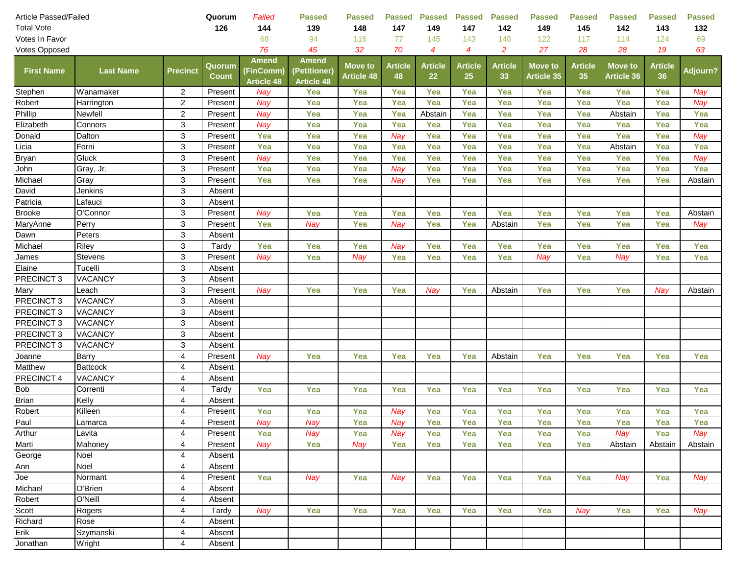| Article Passed/Failed |                  | Quorum          | Failed                 | <b>Passed</b>                           | <b>Passed</b>                                     | Passed                              | <b>Passed</b>        | <b>Passed</b>        | <b>Passed</b>        | <b>Passed</b>        | <b>Passed</b>                       | <b>Passed</b>        | <b>Passed</b>                       | <b>Passed</b>        |                 |
|-----------------------|------------------|-----------------|------------------------|-----------------------------------------|---------------------------------------------------|-------------------------------------|----------------------|----------------------|----------------------|----------------------|-------------------------------------|----------------------|-------------------------------------|----------------------|-----------------|
| <b>Total Vote</b>     |                  |                 | 126                    | 144                                     | 139                                               | 148                                 | 147                  | 149                  | 147                  | 142                  | 149                                 | 145                  | 142                                 | 143                  | 132             |
| Votes In Favor        |                  |                 |                        | 68                                      | 94                                                | 116                                 | 77                   | 145                  | 143                  | 140                  | 122                                 | 117                  | 114                                 | 124                  | 69              |
| Votes Opposed         |                  |                 |                        | 76                                      | 45                                                | 32                                  | 70                   | 4                    | 4                    | $\overline{c}$       | 27                                  | 28                   | 28                                  | 19                   | 63              |
| <b>First Name</b>     | <b>Last Name</b> | <b>Precinct</b> | Quorum<br><b>Count</b> | Amend<br>(FinComm)<br><b>Article 48</b> | <b>Amend</b><br>(Petitioner)<br><b>Article 48</b> | <b>Move to</b><br><b>Article 48</b> | <b>Article</b><br>48 | <b>Article</b><br>22 | <b>Article</b><br>25 | <b>Article</b><br>33 | <b>Move to</b><br><b>Article 35</b> | <b>Article</b><br>35 | <b>Move to</b><br><b>Article 36</b> | <b>Article</b><br>36 | <b>Adjourn?</b> |
| Stephen               | Wanamaker        | $\overline{2}$  | Present                | Nay                                     | Yea                                               | Yea                                 | Yea                  | Yea                  | Yea                  | Yea                  | Yea                                 | Yea                  | Yea                                 | Yea                  | Nay             |
| Robert                | Harrington       | $\overline{2}$  | Present                | Nay                                     | Yea                                               | Yea                                 | Yea                  | Yea                  | Yea                  | Yea                  | Yea                                 | Yea                  | Yea                                 | Yea                  | Nay             |
| Phillip               | Newfell          | $\overline{a}$  | Present                | Nay                                     | Yea                                               | Yea                                 | Yea                  | Abstain              | Yea                  | Yea                  | Yea                                 | Yea                  | Abstain                             | Yea                  | Yea             |
| Elizabeth             | Connors          | 3               | Present                | Nay                                     | Yea                                               | Yea                                 | Yea                  | Yea                  | Yea                  | Yea                  | Yea                                 | Yea                  | Yea                                 | Yea                  | Yea             |
| Donald                | Dalton           | 3               | Present                | Yea                                     | Yea                                               | Yea                                 | Nay                  | Yea                  | Yea                  | Yea                  | Yea                                 | Yea                  | Yea                                 | Yea                  | Nay             |
| Licia                 | Forni            | 3               | Present                | Yea                                     | Yea                                               | Yea                                 | Yea                  | Yea                  | Yea                  | Yea                  | Yea                                 | Yea                  | Abstain                             | Yea                  | Yea             |
| <b>Bryan</b>          | Gluck            | 3               | Present                | Nay                                     | Yea                                               | Yea                                 | Yea                  | Yea                  | Yea                  | Yea                  | Yea                                 | Yea                  | Yea                                 | Yea                  | Nay             |
| John                  | Gray, Jr.        | 3               | Present                | Yea                                     | Yea                                               | Yea                                 | Nay                  | Yea                  | Yea                  | Yea                  | Yea                                 | Yea                  | Yea                                 | Yea                  | Yea             |
| Michael               | Gray             | 3               | Present                | Yea                                     | Yea                                               | Yea                                 | Nay                  | Yea                  | Yea                  | Yea                  | Yea                                 | Yea                  | Yea                                 | Yea                  | Abstain         |
| David                 | Jenkins          | 3               | Absent                 |                                         |                                                   |                                     |                      |                      |                      |                      |                                     |                      |                                     |                      |                 |
| Patricia              | Lafauci          | 3               | Absent                 |                                         |                                                   |                                     |                      |                      |                      |                      |                                     |                      |                                     |                      |                 |
| <b>Brooke</b>         | O'Connor         | 3               | Present                | Nay                                     | Yea                                               | Yea                                 | Yea                  | Yea                  | Yea                  | Yea                  | Yea                                 | Yea                  | Yea                                 | Yea                  | Abstain         |
| MaryAnne              | Perry            | 3               | Present                | Yea                                     | Nay                                               | Yea                                 | Nay                  | Yea                  | Yea                  | Abstain              | Yea                                 | Yea                  | Yea                                 | Yea                  | Nay             |
| Dawn                  | Peters           | 3               | Absent                 |                                         |                                                   |                                     |                      |                      |                      |                      |                                     |                      |                                     |                      |                 |
| Michael               | Riley            | 3               | Tardy                  | Yea                                     | Yea                                               | Yea                                 | Nay                  | Yea                  | Yea                  | Yea                  | Yea                                 | Yea                  | Yea                                 | Yea                  | Yea             |
| James                 | <b>Stevens</b>   | 3               | Present                | Nay                                     | Yea                                               | Nay                                 | Yea                  | Yea                  | Yea                  | Yea                  | Nay                                 | Yea                  | Nay                                 | Yea                  | Yea             |
| Elaine                | Tucelli          | 3               | Absent                 |                                         |                                                   |                                     |                      |                      |                      |                      |                                     |                      |                                     |                      |                 |
| PRECINCT <sub>3</sub> | VACANCY          | 3               | Absent                 |                                         |                                                   |                                     |                      |                      |                      |                      |                                     |                      |                                     |                      |                 |
| Mary                  | Leach            | 3               | Present                | Nay                                     | Yea                                               | Yea                                 | Yea                  | Nay                  | Yea                  | Abstain              | Yea                                 | Yea                  | Yea                                 | Nay                  | Abstain         |
| PRECINCT <sub>3</sub> | VACANCY          | 3               | Absent                 |                                         |                                                   |                                     |                      |                      |                      |                      |                                     |                      |                                     |                      |                 |
| PRECINCT <sub>3</sub> | VACANCY          | 3               | Absent                 |                                         |                                                   |                                     |                      |                      |                      |                      |                                     |                      |                                     |                      |                 |
| PRECINCT <sub>3</sub> | VACANCY          | 3               | Absent                 |                                         |                                                   |                                     |                      |                      |                      |                      |                                     |                      |                                     |                      |                 |
| PRECINCT <sub>3</sub> | VACANCY          | 3               | Absent                 |                                         |                                                   |                                     |                      |                      |                      |                      |                                     |                      |                                     |                      |                 |
| PRECINCT <sub>3</sub> | VACANCY          | 3               | Absent                 |                                         |                                                   |                                     |                      |                      |                      |                      |                                     |                      |                                     |                      |                 |
| Joanne                | Barry            | 4               | Present                | Nay                                     | Yea                                               | Yea                                 | Yea                  | Yea                  | Yea                  | Abstain              | Yea                                 | Yea                  | Yea                                 | Yea                  | Yea             |
| Matthew               | <b>Battcock</b>  | 4               | Absent                 |                                         |                                                   |                                     |                      |                      |                      |                      |                                     |                      |                                     |                      |                 |
| PRECINCT 4            | VACANCY          | 4               | Absent                 |                                         |                                                   |                                     |                      |                      |                      |                      |                                     |                      |                                     |                      |                 |
| <b>Bob</b>            | Correnti         | 4               | Tardy                  | Yea                                     | Yea                                               | Yea                                 | Yea                  | Yea                  | Yea                  | Yea                  | Yea                                 | Yea                  | Yea                                 | Yea                  | Yea             |
| <b>Brian</b>          | Kelly            | 4               | Absent                 |                                         |                                                   |                                     |                      |                      |                      |                      |                                     |                      |                                     |                      |                 |
| Robert                | Killeen          | 4               | Present                | Yea                                     | Yea                                               | Yea                                 | Nay                  | Yea                  | Yea                  | Yea                  | Yea                                 | Yea                  | Yea                                 | Yea                  | Yea             |
| Paul                  | Lamarca          | 4               | Present                | Nay                                     | Nay                                               | Yea                                 | Nay                  | Yea                  | Yea                  | Yea                  | Yea                                 | Yea                  | Yea                                 | Yea                  | Yea             |
| Arthur                | Lavita           | 4               | Present                | Yea                                     | <b>Nay</b>                                        | Yea                                 | Nay                  | Yea                  | Yea                  | Yea                  | Yea                                 | Yea                  | Nay                                 | Yea                  | Nay             |
| Marti                 | Mahoney          | 4               | Present                | Nay                                     | Yea                                               | Nay                                 | Yea                  | Yea                  | Yea                  | Yea                  | Yea                                 | Yea                  | Abstain                             | Abstain              | Abstain         |
| George                | Noel             | 4               | Absent                 |                                         |                                                   |                                     |                      |                      |                      |                      |                                     |                      |                                     |                      |                 |
| Ann                   | Noel             | 4               | Absent                 |                                         |                                                   |                                     |                      |                      |                      |                      |                                     |                      |                                     |                      |                 |
| Joe                   | Normant          | 4               | Present                | Yea                                     | <b>Nay</b>                                        | Yea                                 | Nay                  | Yea                  | Yea                  | Yea                  | Yea                                 | Yea                  | Nay                                 | Yea                  | Nay             |
| Michael               | O'Brien          | 4               | Absent                 |                                         |                                                   |                                     |                      |                      |                      |                      |                                     |                      |                                     |                      |                 |
| Robert                | O'Neill          | 4               | Absent                 |                                         |                                                   |                                     |                      |                      |                      |                      |                                     |                      |                                     |                      |                 |
| Scott                 | Rogers           | 4               | Tardy                  | <b>Nay</b>                              | Yea                                               | Yea                                 | Yea                  | Yea                  | Yea                  | Yea                  | Yea                                 | Nay                  | Yea                                 | Yea                  | Nay             |
| Richard               | Rose             | 4               | Absent                 |                                         |                                                   |                                     |                      |                      |                      |                      |                                     |                      |                                     |                      |                 |
| Erik                  | Szymanski        | 4               | Absent                 |                                         |                                                   |                                     |                      |                      |                      |                      |                                     |                      |                                     |                      |                 |
| Jonathan              | Wright           | 4               | Absent                 |                                         |                                                   |                                     |                      |                      |                      |                      |                                     |                      |                                     |                      |                 |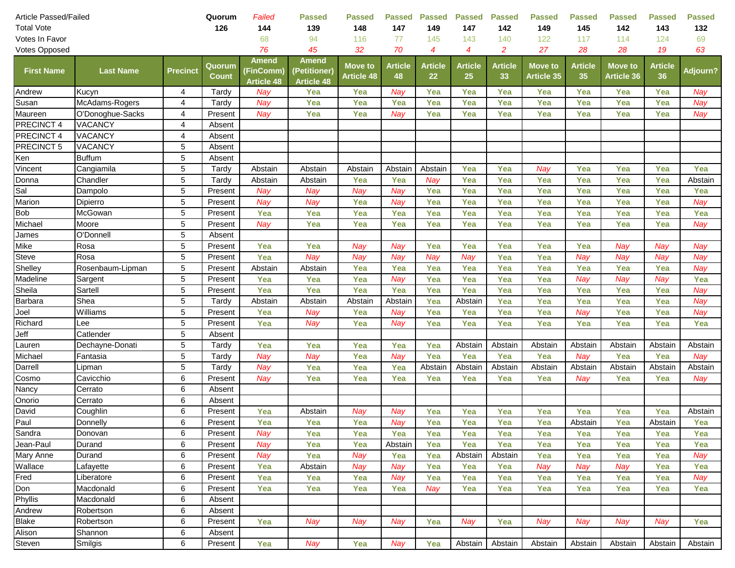| Article Passed/Failed |                  | Quorum          | Failed                 | <b>Passed</b>                           | <b>Passed</b>                                     | <b>Passed</b>                       | <b>Passed</b>        | <b>Passed</b>        | <b>Passed</b>        | <b>Passed</b>        | <b>Passed</b>                       | <b>Passed</b>        | <b>Passed</b>                       | <b>Passed</b>        |                 |
|-----------------------|------------------|-----------------|------------------------|-----------------------------------------|---------------------------------------------------|-------------------------------------|----------------------|----------------------|----------------------|----------------------|-------------------------------------|----------------------|-------------------------------------|----------------------|-----------------|
| <b>Total Vote</b>     |                  |                 | 126                    | 144                                     | 139                                               | 148                                 | 147                  | 149                  | 147                  | 142                  | 149                                 | 145                  | 142                                 | 143                  | 132             |
| Votes In Favor        |                  |                 |                        | 68                                      | 94                                                | 116                                 | 77                   | 145                  | 143                  | 140                  | 122                                 | 117                  | 114                                 | 124                  | 69              |
| Votes Opposed         |                  |                 |                        | 76                                      | 45                                                | 32                                  | 70                   | $\boldsymbol{4}$     | $\overline{4}$       | $\overline{c}$       | 27                                  | 28                   | 28                                  | 19                   | 63              |
| <b>First Name</b>     | <b>Last Name</b> | <b>Precinct</b> | Quorum<br><b>Count</b> | Amend<br>(FinComm)<br><b>Article 48</b> | <b>Amend</b><br>(Petitioner)<br><b>Article 48</b> | <b>Move to</b><br><b>Article 48</b> | <b>Article</b><br>48 | <b>Article</b><br>22 | <b>Article</b><br>25 | <b>Article</b><br>33 | <b>Move to</b><br><b>Article 35</b> | <b>Article</b><br>35 | <b>Move to</b><br><b>Article 36</b> | <b>Article</b><br>36 | <b>Adjourn?</b> |
| Andrew                | Kucyn            | 4               | Tardy                  | Nay                                     | Yea                                               | Yea                                 | Nay                  | Yea                  | Yea                  | Yea                  | Yea                                 | Yea                  | Yea                                 | Yea                  | Nay             |
| Susan                 | McAdams-Rogers   | 4               | Tardy                  | Nay                                     | Yea                                               | Yea                                 | Yea                  | Yea                  | Yea                  | Yea                  | Yea                                 | Yea                  | Yea                                 | Yea                  | Nay             |
| Maureen               | O'Donoghue-Sacks | 4               | Present                | Nay                                     | Yea                                               | Yea                                 | Nay                  | Yea                  | Yea                  | Yea                  | Yea                                 | Yea                  | Yea                                 | Yea                  | Nay             |
| PRECINCT 4            | VACANCY          | 4               | Absent                 |                                         |                                                   |                                     |                      |                      |                      |                      |                                     |                      |                                     |                      |                 |
| PRECINCT 4            | VACANCY          | 4               | Absent                 |                                         |                                                   |                                     |                      |                      |                      |                      |                                     |                      |                                     |                      |                 |
| PRECINCT 5            | VACANCY          | 5               | Absent                 |                                         |                                                   |                                     |                      |                      |                      |                      |                                     |                      |                                     |                      |                 |
| Ken                   | <b>Buffum</b>    | 5               | Absent                 |                                         |                                                   |                                     |                      |                      |                      |                      |                                     |                      |                                     |                      |                 |
| Vincent               | Cangiamila       | 5               | Tardy                  | Abstain                                 | Abstain                                           | Abstain                             | Abstain              | Abstain              | Yea                  | Yea                  | Nay                                 | Yea                  | Yea                                 | Yea                  | Yea             |
| Donna                 | Chandler         | 5               | Tardy                  | Abstain                                 | Abstain                                           | Yea                                 | Yea                  | Nay                  | Yea                  | Yea                  | Yea                                 | Yea                  | Yea                                 | Yea                  | Abstain         |
| Sal                   | Dampolo          | 5               | Present                | Nay                                     | Nay                                               | Nay                                 | Nay                  | Yea                  | Yea                  | Yea                  | Yea                                 | Yea                  | Yea                                 | Yea                  | Yea             |
| Marion                | Dipierro         | 5               | Present                | Nay                                     | Nay                                               | Yea                                 | Nay                  | Yea                  | Yea                  | Yea                  | Yea                                 | Yea                  | Yea                                 | Yea                  | Nay             |
| <b>Bob</b>            | McGowan          | 5               | Present                | Yea                                     | Yea                                               | Yea                                 | Yea                  | Yea                  | Yea                  | Yea                  | Yea                                 | Yea                  | Yea                                 | Yea                  | Yea             |
| Michael               | Moore            | 5               | Present                | Nay                                     | Yea                                               | Yea                                 | Yea                  | Yea                  | Yea                  | Yea                  | Yea                                 | Yea                  | Yea                                 | Yea                  | Nay             |
| James                 | O'Donnell        | 5               | Absent                 |                                         |                                                   |                                     |                      |                      |                      |                      |                                     |                      |                                     |                      |                 |
| Mike                  | Rosa             | 5               | Present                | Yea                                     | Yea                                               | Nay                                 | Nay                  | Yea                  | Yea                  | Yea                  | Yea                                 | Yea                  | Nay                                 | Nay                  | Nay             |
| Steve                 | Rosa             | 5               | Present                | Yea                                     | Nay                                               | Nay                                 | Nay                  | Nay                  | Nay                  | Yea                  | Yea                                 | Nay                  | Nay                                 | Nay                  | Nay             |
| Shelley               | Rosenbaum-Lipman | 5               | Present                | Abstain                                 | Abstain                                           | Yea                                 | Yea                  | Yea                  | Yea                  | Yea                  | Yea                                 | Yea                  | Yea                                 | Yea                  | Nay             |
| Madeline              | Sargent          | 5               | Present                | Yea                                     | Yea                                               | Yea                                 | Nay                  | Yea                  | Yea                  | Yea                  | Yea                                 | Nay                  | Nay                                 | Nay                  | Yea             |
| Sheila                | Sartell          | 5               | Present                | Yea                                     | Yea                                               | Yea                                 | Yea                  | Yea                  | Yea                  | Yea                  | Yea                                 | Yea                  | Yea                                 | Yea                  | Nay             |
| Barbara               | Shea             | 5               | Tardy                  | Abstain                                 | Abstain                                           | Abstain                             | Abstain              | Yea                  | Abstain              | Yea                  | Yea                                 | Yea                  | Yea                                 | Yea                  | Nay             |
| Joel                  | Williams         | 5               | Present                | Yea                                     | Nay                                               | Yea                                 | Nay                  | Yea                  | Yea                  | Yea                  | Yea                                 | Nay                  | Yea                                 | Yea                  | Nay             |
| Richard               | Lee              | 5               | Present                | Yea                                     | Nay                                               | Yea                                 | Nay                  | Yea                  | Yea                  | Yea                  | Yea                                 | Yea                  | Yea                                 | Yea                  | Yea             |
| Jeff                  | Catlender        | 5               | Absent                 |                                         |                                                   |                                     |                      |                      |                      |                      |                                     |                      |                                     |                      |                 |
| Lauren                | Dechayne-Donati  | 5               | Tardy                  | Yea                                     | Yea                                               | Yea                                 | Yea                  | Yea                  | Abstain              | Abstain              | Abstain                             | Abstain              | Abstain                             | Abstain              | Abstain         |
| Michael               | Fantasia         | 5               | Tardy                  | Nay                                     | Nay                                               | Yea                                 | Nay                  | Yea                  | Yea                  | Yea                  | Yea                                 | Nav                  | Yea                                 | Yea                  | Nay             |
| Darrell               | Lipman           | 5               | Tardy                  | Nay                                     | Yea                                               | Yea                                 | Yea                  | Abstain              | Abstain              | Abstain              | Abstain                             | Abstain              | Abstain                             | Abstain              | Abstain         |
| Cosmo                 | Cavicchio        | 6               | Present                | Nay                                     | Yea                                               | Yea                                 | Yea                  | Yea                  | Yea                  | Yea                  | Yea                                 | Nav                  | Yea                                 | Yea                  | Nay             |
| Nancy                 | Cerrato          | 6               | Absent                 |                                         |                                                   |                                     |                      |                      |                      |                      |                                     |                      |                                     |                      |                 |
| Onorio                | Cerrato          | 6               | Absent                 |                                         |                                                   |                                     |                      |                      |                      |                      |                                     |                      |                                     |                      |                 |
| David                 | Coughlin         | 6               | Present                | Yea                                     | Abstain                                           | Nay                                 | Nay                  | Yea                  | Yea                  | Yea                  | Yea                                 | Yea                  | Yea                                 | Yea                  | Abstain         |
| Paul                  | Donnelly         | 6               | Present                | Yea                                     | Yea                                               | Yea                                 | Nay                  | Yea                  | Yea                  | Yea                  | Yea                                 | Abstain              | Yea                                 | Abstain              | Yea             |
| Sandra                | Donovan          | 6               | Present                | Nay                                     | Yea                                               | Yea                                 | Yea                  | Yea                  | Yea                  | Yea                  | Yea                                 | Yea                  | Yea                                 | Yea                  | Yea             |
| Jean-Paul             | Durand           | 6               | Present                | Nay                                     | Yea                                               | Yea                                 | Abstain              | Yea                  | Yea                  | Yea                  | Yea                                 | Yea                  | Yea                                 | Yea                  | Yea             |
| Mary Anne             | Durand           | 6               | Present                | Nay                                     | Yea                                               | Nay                                 | Yea                  | Yea                  | Abstain              | Abstain              | Yea                                 | Yea                  | Yea                                 | Yea                  | Nay             |
| Wallace               | Lafayette        | 6               | Present                | Yea                                     | Abstain                                           | Nay                                 | Nay                  | Yea                  | Yea                  | Yea                  | Nay                                 | Nay                  | Nay                                 | Yea                  | Yea             |
| Fred                  | Liberatore       | 6               | Present                | Yea                                     | Yea                                               | Yea                                 | Nay                  | Yea                  | Yea                  | Yea                  | Yea                                 | Yea                  | Yea                                 | Yea                  | Nay             |
| Don                   | Macdonald        | 6               | Present                | Yea                                     | Yea                                               | Yea                                 | Yea                  | Nay                  | Yea                  | Yea                  | Yea                                 | Yea                  | Yea                                 | Yea                  | Yea             |
| Phyllis               | Macdonald        | 6               | Absent                 |                                         |                                                   |                                     |                      |                      |                      |                      |                                     |                      |                                     |                      |                 |
| Andrew                | Robertson        | 6               | Absent                 |                                         |                                                   |                                     |                      |                      |                      |                      |                                     |                      |                                     |                      |                 |
| <b>Blake</b>          | Robertson        | 6               | Present                | Yea                                     | Nay                                               | Nay                                 | Nay                  | Yea                  | Nay                  | Yea                  | Nay                                 | Nay                  | Nay                                 | Nay                  | Yea             |
| Alison                | Shannon          | 6               | Absent                 |                                         |                                                   |                                     |                      |                      |                      |                      |                                     |                      |                                     |                      |                 |
| Steven                | Smilgis          | 6               | Present                | Yea                                     | Nay                                               | Yea                                 | <b>Nay</b>           | Yea                  | Abstain              | Abstain              | Abstain                             | Abstain              | Abstain                             | Abstain              | Abstain         |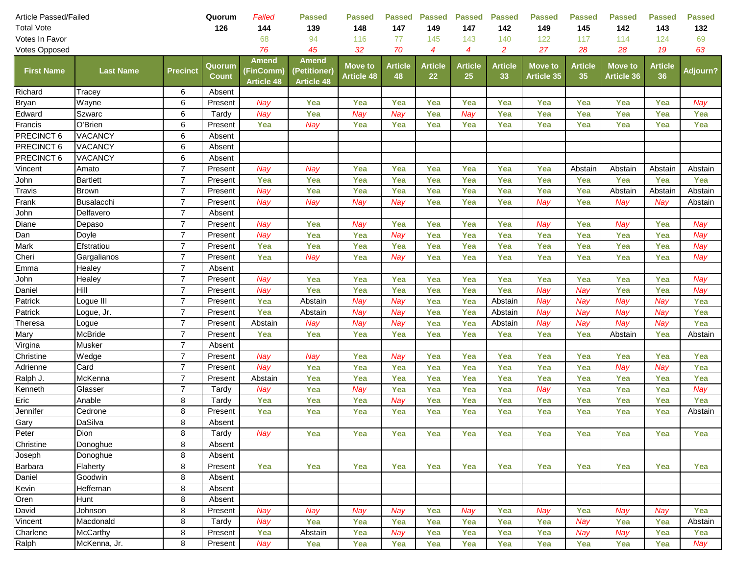| 126<br>144<br>139<br>148<br>147<br>149<br>147<br>142<br>149<br>145<br>142<br>143<br>132<br>68<br>94<br>116<br>77<br>145<br>143<br>140<br>122<br>117<br>114<br>124<br>69<br>Votes In Favor<br>45<br>70<br>$\overline{a}$<br>27<br>76<br>32<br>$\boldsymbol{4}$<br>4<br>28<br>28<br>19<br>63<br>Votes Opposed<br>Amend<br>Amend<br><b>Article</b><br><b>Article</b><br><b>Article</b><br><b>Article</b><br><b>Article</b><br><b>Move to</b><br><b>Article</b><br><b>Move to</b><br>Quorum<br>Move to<br><b>Precinct</b><br>Adjourn?<br><b>First Name</b><br><b>Last Name</b><br>(FinComm)<br>(Petitioner)<br>22<br>36<br><b>Count</b><br><b>Article 48</b><br>48<br>25<br>33<br><b>Article 35</b><br>35<br><b>Article 36</b><br><b>Article 48</b><br><b>Article 48</b><br>Richard<br>6<br>Absent<br>Tracey<br><b>Bryan</b><br>Wayne<br>6<br>Present<br>Yea<br>Yea<br>Yea<br>Yea<br>Yea<br>Yea<br>Nay<br>Nay<br>Yea<br>Yea<br>Yea<br>Yea<br>Edward<br>6<br>Szwarc<br>Tardy<br>Yea<br>Nay<br>Nay<br>Yea<br>Nay<br>Yea<br>Yea<br>Yea<br>Yea<br>Yea<br>Yea<br>Nay<br>Francis<br>O'Brien<br>Yea<br>Yea<br>Yea<br>Yea<br>6<br>Yea<br>Nay<br>Yea<br>Yea<br>Yea<br>Yea<br>Yea<br>Yea<br>Present<br>PRECINCT 6<br><b>VACANCY</b><br>6<br>Absent<br>PRECINCT 6<br>6<br><b>VACANCY</b><br>Absent<br>PRECINCT 6<br>6<br><b>VACANCY</b><br>Absent<br>$\overline{7}$<br>Yea<br>Yea<br>Vincent<br>Amato<br>Present<br>Nay<br>Nay<br>Yea<br>Yea<br>Yea<br>Yea<br>Abstain<br>Abstain<br>Abstain<br>Abstain<br>$\overline{7}$<br>John<br><b>Bartlett</b><br>Yea<br>Yea<br>Yea<br>Yea<br>Present<br>Yea<br>Yea<br>Yea<br>Yea<br>Yea<br>Yea<br>Yea<br>Yea<br>$\overline{7}$<br>Travis<br>Yea<br>Yea<br>Yea<br>Yea<br>Yea<br>Nay<br>Yea<br>Yea<br>Yea<br>Abstain<br><b>Brown</b><br>Present<br>Abstain<br>Abstain<br>Frank<br>$\overline{7}$<br><b>Busalacchi</b><br>Nay<br>Nay<br>Nay<br>Yea<br>Yea<br>Yea<br>Nay<br>Yea<br>Nay<br>Present<br>Nay<br>Nay<br>Abstain<br>$\overline{7}$<br>John<br>Delfavero<br>Absent<br>Diane<br>$\overline{7}$<br>Nay<br>Yea<br>Nay<br>Yea<br>Yea<br>Nay<br>Yea<br>Nay<br>Yea<br>Nay<br>Depaso<br>Present<br>Yea<br>Yea<br>Dan<br>$\overline{7}$<br>Yea<br>Yea<br>Yea<br>Yea<br>Doyle<br>Nay<br>Yea<br>Nay<br>Yea<br>Yea<br>Yea<br>Yea<br>Nay<br>Present<br>$\overline{7}$<br>Mark<br>Yea<br>Yea<br>Yea<br>Yea<br>Yea<br>Yea<br>Yea<br>Yea<br>Yea<br>Yea<br>Yea<br>Efstratiou<br>Present<br>Nay<br>$\overline{7}$<br>Cheri<br>Nay<br>Present<br>Yea<br>Yea<br>Nay<br>Yea<br>Yea<br>Yea<br>Yea<br>Yea<br>Nay<br>Gargalianos<br>Yea<br>Yea<br>Emma<br>$\overline{7}$<br>Healey<br>Absent<br>$\overline{7}$<br>Yea<br>Yea<br>Yea<br>John<br>Yea<br>Yea<br>Yea<br>Yea<br>Yea<br>Yea<br>Nay<br>Healey<br>Present<br>Nay<br>Yea<br>$\overline{7}$<br>Hill<br>Yea<br>Yea<br>Yea<br>Nay<br>Yea<br>Nay<br>Daniel<br>Present<br>Nay<br>Yea<br>Yea<br>Yea<br>Nay<br>Yea<br>$\overline{7}$<br>Yea<br>Patrick<br>Yea<br>Abstain<br>Nay<br>Nay<br>Yea<br>Yea<br>Abstain<br>Nay<br>Nay<br>Present<br>Nay<br>Nay<br>Logue III<br>$\overline{7}$<br>Yea<br>Patrick<br>Yea<br>Nay<br>Nay<br>Yea<br>Nay<br>Abstain<br>Yea<br>Abstain<br>Nay<br>Nay<br>Nay<br>Present<br>Logue, Jr.<br>$\overline{7}$<br>Yea<br>Theresa<br>Nay<br>Nay<br>Nay<br>Yea<br>Nay<br>Nay<br>Nay<br>Present<br>Abstain<br>Yea<br>Abstain<br>Nay<br>Logue<br>$\overline{7}$<br>McBride<br>Yea<br>Yea<br>Yea<br>Yea<br>Yea<br>Yea<br>Yea<br>Yea<br>Yea<br>Yea<br>Abstain<br>Mary<br>Present<br>Abstain<br>$\overline{7}$<br>Virgina<br>Musker<br>Absent<br>$\overline{7}$<br>Yea<br>Christine<br>Wedge<br>Nay<br>Yea<br>Yea<br>Yea<br>Yea<br>Yea<br>Yea<br>Yea<br>Yea<br>Present<br>Nay<br>Nay<br>$\overline{7}$<br>Card<br>Nay<br>Yea<br>Adrienne<br>Present<br>Nay<br>Yea<br>Yea<br>Yea<br>Yea<br>Yea<br>Yea<br>Yea<br>Yea<br>Nay<br>$\overline{7}$<br>McKenna<br>Yea<br>Yea<br>Yea<br>Yea<br>Yea<br>Yea<br>Yea<br>Yea<br>Ralph J.<br>Present<br>Abstain<br>Yea<br>Yea<br>Yea<br>$\overline{7}$<br>Yea<br>Yea<br>Yea<br>Yea<br>Yea<br>Yea<br>Kenneth<br>Glasser<br>Tardy<br>Nay<br>Nay<br>Yea<br>Nay<br>Yea<br>Nay<br>Eric<br>Anable<br>8<br>Tardy<br>Yea<br>Yea<br>Nay<br>Yea<br>Yea<br>Yea<br>Yea<br>Yea<br>Yea<br>Yea<br>Yea<br>Yea<br>8<br>Yea<br>Yea<br>Yea<br>Yea<br>Yea<br>Yea<br>Yea<br>Yea<br>Yea<br>Jennifer<br>Cedrone<br>Present<br>Yea<br>Yea<br>Abstain<br>DaSilva<br>8<br>Gary<br>Absent<br>8<br>Peter<br>Dion<br>Tardy<br>Nay<br>Yea<br>Yea<br>Yea<br>Yea<br>Yea<br>Yea<br>Yea<br>Yea<br>Yea<br>Yea<br>Yea<br>8<br>Christine<br>Donoghue<br>Absent<br>8<br>Absent<br>Joseph<br>Donoghue<br>8<br>Barbara<br>Flaherty<br>Yea<br>Yea<br>Yea<br>Present<br>Yea<br>Yea<br>Yea<br>Yea<br>Yea<br>Yea<br>Yea<br>Yea<br>Yea<br>8<br>Daniel<br>Goodwin<br>Absent<br>Heffernan<br>8<br>Kevin<br>Absent<br>8<br>Oren<br>Hunt<br>Absent<br>8<br>Yea<br>David<br>Nay<br>Nay<br>Nay<br>Nay<br>Yea<br>Nay<br>Yea<br>Nay<br>Yea<br>Nay<br>Nay<br>Johnson<br>Present<br>Vincent<br>Macdonald<br>8<br>Nay<br>Yea<br>Yea<br>Yea<br>Yea<br>Yea<br>Yea<br>Yea<br>Yea<br>Tardy<br>Yea<br>Nay<br>Abstain<br>Charlene<br><b>McCarthy</b><br>8<br>Yea<br>Present<br>Yea<br>Abstain<br>Nay<br>Yea<br>Yea<br>Yea<br>Nay<br>Yea<br>Yea<br>Yea<br>Nay<br>McKenna, Jr.<br>8<br>Ralph<br>Present<br>Nay<br>Yea<br>Yea<br>Yea<br>Yea<br>Yea<br>Yea<br>Yea<br>Nay<br>Yea<br>Yea<br>Yea | Article Passed/Failed |  | Quorum | Failed | <b>Passed</b> | <b>Passed</b> | <b>Passed</b> | <b>Passed</b> | <b>Passed</b> | <b>Passed</b> | <b>Passed</b> | <b>Passed</b> | <b>Passed</b> | <b>Passed</b> | <b>Passed</b> |  |
|-------------------------------------------------------------------------------------------------------------------------------------------------------------------------------------------------------------------------------------------------------------------------------------------------------------------------------------------------------------------------------------------------------------------------------------------------------------------------------------------------------------------------------------------------------------------------------------------------------------------------------------------------------------------------------------------------------------------------------------------------------------------------------------------------------------------------------------------------------------------------------------------------------------------------------------------------------------------------------------------------------------------------------------------------------------------------------------------------------------------------------------------------------------------------------------------------------------------------------------------------------------------------------------------------------------------------------------------------------------------------------------------------------------------------------------------------------------------------------------------------------------------------------------------------------------------------------------------------------------------------------------------------------------------------------------------------------------------------------------------------------------------------------------------------------------------------------------------------------------------------------------------------------------------------------------------------------------------------------------------------------------------------------------------------------------------------------------------------------------------------------------------------------------------------------------------------------------------------------------------------------------------------------------------------------------------------------------------------------------------------------------------------------------------------------------------------------------------------------------------------------------------------------------------------------------------------------------------------------------------------------------------------------------------------------------------------------------------------------------------------------------------------------------------------------------------------------------------------------------------------------------------------------------------------------------------------------------------------------------------------------------------------------------------------------------------------------------------------------------------------------------------------------------------------------------------------------------------------------------------------------------------------------------------------------------------------------------------------------------------------------------------------------------------------------------------------------------------------------------------------------------------------------------------------------------------------------------------------------------------------------------------------------------------------------------------------------------------------------------------------------------------------------------------------------------------------------------------------------------------------------------------------------------------------------------------------------------------------------------------------------------------------------------------------------------------------------------------------------------------------------------------------------------------------------------------------------------------------------------------------------------------------------------------------------------------------------------------------------------------------------------------------------------------------------------------------------------------------------------------------------------------------------------------------------------------------------------------------------------------------------------------------------------------------------------------------------------------------------------------------------------------------------------------------------------------------------------------------------------------------------------------------------------------------------------------------------------------------------------------------------------------------------------------------------------------------------------------------------------------------------------------------------------------------------------------------------------------------------------------------------------------------------------------------------------------------------------|-----------------------|--|--------|--------|---------------|---------------|---------------|---------------|---------------|---------------|---------------|---------------|---------------|---------------|---------------|--|
|                                                                                                                                                                                                                                                                                                                                                                                                                                                                                                                                                                                                                                                                                                                                                                                                                                                                                                                                                                                                                                                                                                                                                                                                                                                                                                                                                                                                                                                                                                                                                                                                                                                                                                                                                                                                                                                                                                                                                                                                                                                                                                                                                                                                                                                                                                                                                                                                                                                                                                                                                                                                                                                                                                                                                                                                                                                                                                                                                                                                                                                                                                                                                                                                                                                                                                                                                                                                                                                                                                                                                                                                                                                                                                                                                                                                                                                                                                                                                                                                                                                                                                                                                                                                                                                                                                                                                                                                                                                                                                                                                                                                                                                                                                                                                                                                                                                                                                                                                                                                                                                                                                                                                                                                                                                                                                                                     | <b>Total Vote</b>     |  |        |        |               |               |               |               |               |               |               |               |               |               |               |  |
|                                                                                                                                                                                                                                                                                                                                                                                                                                                                                                                                                                                                                                                                                                                                                                                                                                                                                                                                                                                                                                                                                                                                                                                                                                                                                                                                                                                                                                                                                                                                                                                                                                                                                                                                                                                                                                                                                                                                                                                                                                                                                                                                                                                                                                                                                                                                                                                                                                                                                                                                                                                                                                                                                                                                                                                                                                                                                                                                                                                                                                                                                                                                                                                                                                                                                                                                                                                                                                                                                                                                                                                                                                                                                                                                                                                                                                                                                                                                                                                                                                                                                                                                                                                                                                                                                                                                                                                                                                                                                                                                                                                                                                                                                                                                                                                                                                                                                                                                                                                                                                                                                                                                                                                                                                                                                                                                     |                       |  |        |        |               |               |               |               |               |               |               |               |               |               |               |  |
|                                                                                                                                                                                                                                                                                                                                                                                                                                                                                                                                                                                                                                                                                                                                                                                                                                                                                                                                                                                                                                                                                                                                                                                                                                                                                                                                                                                                                                                                                                                                                                                                                                                                                                                                                                                                                                                                                                                                                                                                                                                                                                                                                                                                                                                                                                                                                                                                                                                                                                                                                                                                                                                                                                                                                                                                                                                                                                                                                                                                                                                                                                                                                                                                                                                                                                                                                                                                                                                                                                                                                                                                                                                                                                                                                                                                                                                                                                                                                                                                                                                                                                                                                                                                                                                                                                                                                                                                                                                                                                                                                                                                                                                                                                                                                                                                                                                                                                                                                                                                                                                                                                                                                                                                                                                                                                                                     |                       |  |        |        |               |               |               |               |               |               |               |               |               |               |               |  |
|                                                                                                                                                                                                                                                                                                                                                                                                                                                                                                                                                                                                                                                                                                                                                                                                                                                                                                                                                                                                                                                                                                                                                                                                                                                                                                                                                                                                                                                                                                                                                                                                                                                                                                                                                                                                                                                                                                                                                                                                                                                                                                                                                                                                                                                                                                                                                                                                                                                                                                                                                                                                                                                                                                                                                                                                                                                                                                                                                                                                                                                                                                                                                                                                                                                                                                                                                                                                                                                                                                                                                                                                                                                                                                                                                                                                                                                                                                                                                                                                                                                                                                                                                                                                                                                                                                                                                                                                                                                                                                                                                                                                                                                                                                                                                                                                                                                                                                                                                                                                                                                                                                                                                                                                                                                                                                                                     |                       |  |        |        |               |               |               |               |               |               |               |               |               |               |               |  |
|                                                                                                                                                                                                                                                                                                                                                                                                                                                                                                                                                                                                                                                                                                                                                                                                                                                                                                                                                                                                                                                                                                                                                                                                                                                                                                                                                                                                                                                                                                                                                                                                                                                                                                                                                                                                                                                                                                                                                                                                                                                                                                                                                                                                                                                                                                                                                                                                                                                                                                                                                                                                                                                                                                                                                                                                                                                                                                                                                                                                                                                                                                                                                                                                                                                                                                                                                                                                                                                                                                                                                                                                                                                                                                                                                                                                                                                                                                                                                                                                                                                                                                                                                                                                                                                                                                                                                                                                                                                                                                                                                                                                                                                                                                                                                                                                                                                                                                                                                                                                                                                                                                                                                                                                                                                                                                                                     |                       |  |        |        |               |               |               |               |               |               |               |               |               |               |               |  |
|                                                                                                                                                                                                                                                                                                                                                                                                                                                                                                                                                                                                                                                                                                                                                                                                                                                                                                                                                                                                                                                                                                                                                                                                                                                                                                                                                                                                                                                                                                                                                                                                                                                                                                                                                                                                                                                                                                                                                                                                                                                                                                                                                                                                                                                                                                                                                                                                                                                                                                                                                                                                                                                                                                                                                                                                                                                                                                                                                                                                                                                                                                                                                                                                                                                                                                                                                                                                                                                                                                                                                                                                                                                                                                                                                                                                                                                                                                                                                                                                                                                                                                                                                                                                                                                                                                                                                                                                                                                                                                                                                                                                                                                                                                                                                                                                                                                                                                                                                                                                                                                                                                                                                                                                                                                                                                                                     |                       |  |        |        |               |               |               |               |               |               |               |               |               |               |               |  |
|                                                                                                                                                                                                                                                                                                                                                                                                                                                                                                                                                                                                                                                                                                                                                                                                                                                                                                                                                                                                                                                                                                                                                                                                                                                                                                                                                                                                                                                                                                                                                                                                                                                                                                                                                                                                                                                                                                                                                                                                                                                                                                                                                                                                                                                                                                                                                                                                                                                                                                                                                                                                                                                                                                                                                                                                                                                                                                                                                                                                                                                                                                                                                                                                                                                                                                                                                                                                                                                                                                                                                                                                                                                                                                                                                                                                                                                                                                                                                                                                                                                                                                                                                                                                                                                                                                                                                                                                                                                                                                                                                                                                                                                                                                                                                                                                                                                                                                                                                                                                                                                                                                                                                                                                                                                                                                                                     |                       |  |        |        |               |               |               |               |               |               |               |               |               |               |               |  |
|                                                                                                                                                                                                                                                                                                                                                                                                                                                                                                                                                                                                                                                                                                                                                                                                                                                                                                                                                                                                                                                                                                                                                                                                                                                                                                                                                                                                                                                                                                                                                                                                                                                                                                                                                                                                                                                                                                                                                                                                                                                                                                                                                                                                                                                                                                                                                                                                                                                                                                                                                                                                                                                                                                                                                                                                                                                                                                                                                                                                                                                                                                                                                                                                                                                                                                                                                                                                                                                                                                                                                                                                                                                                                                                                                                                                                                                                                                                                                                                                                                                                                                                                                                                                                                                                                                                                                                                                                                                                                                                                                                                                                                                                                                                                                                                                                                                                                                                                                                                                                                                                                                                                                                                                                                                                                                                                     |                       |  |        |        |               |               |               |               |               |               |               |               |               |               |               |  |
|                                                                                                                                                                                                                                                                                                                                                                                                                                                                                                                                                                                                                                                                                                                                                                                                                                                                                                                                                                                                                                                                                                                                                                                                                                                                                                                                                                                                                                                                                                                                                                                                                                                                                                                                                                                                                                                                                                                                                                                                                                                                                                                                                                                                                                                                                                                                                                                                                                                                                                                                                                                                                                                                                                                                                                                                                                                                                                                                                                                                                                                                                                                                                                                                                                                                                                                                                                                                                                                                                                                                                                                                                                                                                                                                                                                                                                                                                                                                                                                                                                                                                                                                                                                                                                                                                                                                                                                                                                                                                                                                                                                                                                                                                                                                                                                                                                                                                                                                                                                                                                                                                                                                                                                                                                                                                                                                     |                       |  |        |        |               |               |               |               |               |               |               |               |               |               |               |  |
|                                                                                                                                                                                                                                                                                                                                                                                                                                                                                                                                                                                                                                                                                                                                                                                                                                                                                                                                                                                                                                                                                                                                                                                                                                                                                                                                                                                                                                                                                                                                                                                                                                                                                                                                                                                                                                                                                                                                                                                                                                                                                                                                                                                                                                                                                                                                                                                                                                                                                                                                                                                                                                                                                                                                                                                                                                                                                                                                                                                                                                                                                                                                                                                                                                                                                                                                                                                                                                                                                                                                                                                                                                                                                                                                                                                                                                                                                                                                                                                                                                                                                                                                                                                                                                                                                                                                                                                                                                                                                                                                                                                                                                                                                                                                                                                                                                                                                                                                                                                                                                                                                                                                                                                                                                                                                                                                     |                       |  |        |        |               |               |               |               |               |               |               |               |               |               |               |  |
|                                                                                                                                                                                                                                                                                                                                                                                                                                                                                                                                                                                                                                                                                                                                                                                                                                                                                                                                                                                                                                                                                                                                                                                                                                                                                                                                                                                                                                                                                                                                                                                                                                                                                                                                                                                                                                                                                                                                                                                                                                                                                                                                                                                                                                                                                                                                                                                                                                                                                                                                                                                                                                                                                                                                                                                                                                                                                                                                                                                                                                                                                                                                                                                                                                                                                                                                                                                                                                                                                                                                                                                                                                                                                                                                                                                                                                                                                                                                                                                                                                                                                                                                                                                                                                                                                                                                                                                                                                                                                                                                                                                                                                                                                                                                                                                                                                                                                                                                                                                                                                                                                                                                                                                                                                                                                                                                     |                       |  |        |        |               |               |               |               |               |               |               |               |               |               |               |  |
|                                                                                                                                                                                                                                                                                                                                                                                                                                                                                                                                                                                                                                                                                                                                                                                                                                                                                                                                                                                                                                                                                                                                                                                                                                                                                                                                                                                                                                                                                                                                                                                                                                                                                                                                                                                                                                                                                                                                                                                                                                                                                                                                                                                                                                                                                                                                                                                                                                                                                                                                                                                                                                                                                                                                                                                                                                                                                                                                                                                                                                                                                                                                                                                                                                                                                                                                                                                                                                                                                                                                                                                                                                                                                                                                                                                                                                                                                                                                                                                                                                                                                                                                                                                                                                                                                                                                                                                                                                                                                                                                                                                                                                                                                                                                                                                                                                                                                                                                                                                                                                                                                                                                                                                                                                                                                                                                     |                       |  |        |        |               |               |               |               |               |               |               |               |               |               |               |  |
|                                                                                                                                                                                                                                                                                                                                                                                                                                                                                                                                                                                                                                                                                                                                                                                                                                                                                                                                                                                                                                                                                                                                                                                                                                                                                                                                                                                                                                                                                                                                                                                                                                                                                                                                                                                                                                                                                                                                                                                                                                                                                                                                                                                                                                                                                                                                                                                                                                                                                                                                                                                                                                                                                                                                                                                                                                                                                                                                                                                                                                                                                                                                                                                                                                                                                                                                                                                                                                                                                                                                                                                                                                                                                                                                                                                                                                                                                                                                                                                                                                                                                                                                                                                                                                                                                                                                                                                                                                                                                                                                                                                                                                                                                                                                                                                                                                                                                                                                                                                                                                                                                                                                                                                                                                                                                                                                     |                       |  |        |        |               |               |               |               |               |               |               |               |               |               |               |  |
|                                                                                                                                                                                                                                                                                                                                                                                                                                                                                                                                                                                                                                                                                                                                                                                                                                                                                                                                                                                                                                                                                                                                                                                                                                                                                                                                                                                                                                                                                                                                                                                                                                                                                                                                                                                                                                                                                                                                                                                                                                                                                                                                                                                                                                                                                                                                                                                                                                                                                                                                                                                                                                                                                                                                                                                                                                                                                                                                                                                                                                                                                                                                                                                                                                                                                                                                                                                                                                                                                                                                                                                                                                                                                                                                                                                                                                                                                                                                                                                                                                                                                                                                                                                                                                                                                                                                                                                                                                                                                                                                                                                                                                                                                                                                                                                                                                                                                                                                                                                                                                                                                                                                                                                                                                                                                                                                     |                       |  |        |        |               |               |               |               |               |               |               |               |               |               |               |  |
|                                                                                                                                                                                                                                                                                                                                                                                                                                                                                                                                                                                                                                                                                                                                                                                                                                                                                                                                                                                                                                                                                                                                                                                                                                                                                                                                                                                                                                                                                                                                                                                                                                                                                                                                                                                                                                                                                                                                                                                                                                                                                                                                                                                                                                                                                                                                                                                                                                                                                                                                                                                                                                                                                                                                                                                                                                                                                                                                                                                                                                                                                                                                                                                                                                                                                                                                                                                                                                                                                                                                                                                                                                                                                                                                                                                                                                                                                                                                                                                                                                                                                                                                                                                                                                                                                                                                                                                                                                                                                                                                                                                                                                                                                                                                                                                                                                                                                                                                                                                                                                                                                                                                                                                                                                                                                                                                     |                       |  |        |        |               |               |               |               |               |               |               |               |               |               |               |  |
|                                                                                                                                                                                                                                                                                                                                                                                                                                                                                                                                                                                                                                                                                                                                                                                                                                                                                                                                                                                                                                                                                                                                                                                                                                                                                                                                                                                                                                                                                                                                                                                                                                                                                                                                                                                                                                                                                                                                                                                                                                                                                                                                                                                                                                                                                                                                                                                                                                                                                                                                                                                                                                                                                                                                                                                                                                                                                                                                                                                                                                                                                                                                                                                                                                                                                                                                                                                                                                                                                                                                                                                                                                                                                                                                                                                                                                                                                                                                                                                                                                                                                                                                                                                                                                                                                                                                                                                                                                                                                                                                                                                                                                                                                                                                                                                                                                                                                                                                                                                                                                                                                                                                                                                                                                                                                                                                     |                       |  |        |        |               |               |               |               |               |               |               |               |               |               |               |  |
|                                                                                                                                                                                                                                                                                                                                                                                                                                                                                                                                                                                                                                                                                                                                                                                                                                                                                                                                                                                                                                                                                                                                                                                                                                                                                                                                                                                                                                                                                                                                                                                                                                                                                                                                                                                                                                                                                                                                                                                                                                                                                                                                                                                                                                                                                                                                                                                                                                                                                                                                                                                                                                                                                                                                                                                                                                                                                                                                                                                                                                                                                                                                                                                                                                                                                                                                                                                                                                                                                                                                                                                                                                                                                                                                                                                                                                                                                                                                                                                                                                                                                                                                                                                                                                                                                                                                                                                                                                                                                                                                                                                                                                                                                                                                                                                                                                                                                                                                                                                                                                                                                                                                                                                                                                                                                                                                     |                       |  |        |        |               |               |               |               |               |               |               |               |               |               |               |  |
|                                                                                                                                                                                                                                                                                                                                                                                                                                                                                                                                                                                                                                                                                                                                                                                                                                                                                                                                                                                                                                                                                                                                                                                                                                                                                                                                                                                                                                                                                                                                                                                                                                                                                                                                                                                                                                                                                                                                                                                                                                                                                                                                                                                                                                                                                                                                                                                                                                                                                                                                                                                                                                                                                                                                                                                                                                                                                                                                                                                                                                                                                                                                                                                                                                                                                                                                                                                                                                                                                                                                                                                                                                                                                                                                                                                                                                                                                                                                                                                                                                                                                                                                                                                                                                                                                                                                                                                                                                                                                                                                                                                                                                                                                                                                                                                                                                                                                                                                                                                                                                                                                                                                                                                                                                                                                                                                     |                       |  |        |        |               |               |               |               |               |               |               |               |               |               |               |  |
|                                                                                                                                                                                                                                                                                                                                                                                                                                                                                                                                                                                                                                                                                                                                                                                                                                                                                                                                                                                                                                                                                                                                                                                                                                                                                                                                                                                                                                                                                                                                                                                                                                                                                                                                                                                                                                                                                                                                                                                                                                                                                                                                                                                                                                                                                                                                                                                                                                                                                                                                                                                                                                                                                                                                                                                                                                                                                                                                                                                                                                                                                                                                                                                                                                                                                                                                                                                                                                                                                                                                                                                                                                                                                                                                                                                                                                                                                                                                                                                                                                                                                                                                                                                                                                                                                                                                                                                                                                                                                                                                                                                                                                                                                                                                                                                                                                                                                                                                                                                                                                                                                                                                                                                                                                                                                                                                     |                       |  |        |        |               |               |               |               |               |               |               |               |               |               |               |  |
|                                                                                                                                                                                                                                                                                                                                                                                                                                                                                                                                                                                                                                                                                                                                                                                                                                                                                                                                                                                                                                                                                                                                                                                                                                                                                                                                                                                                                                                                                                                                                                                                                                                                                                                                                                                                                                                                                                                                                                                                                                                                                                                                                                                                                                                                                                                                                                                                                                                                                                                                                                                                                                                                                                                                                                                                                                                                                                                                                                                                                                                                                                                                                                                                                                                                                                                                                                                                                                                                                                                                                                                                                                                                                                                                                                                                                                                                                                                                                                                                                                                                                                                                                                                                                                                                                                                                                                                                                                                                                                                                                                                                                                                                                                                                                                                                                                                                                                                                                                                                                                                                                                                                                                                                                                                                                                                                     |                       |  |        |        |               |               |               |               |               |               |               |               |               |               |               |  |
|                                                                                                                                                                                                                                                                                                                                                                                                                                                                                                                                                                                                                                                                                                                                                                                                                                                                                                                                                                                                                                                                                                                                                                                                                                                                                                                                                                                                                                                                                                                                                                                                                                                                                                                                                                                                                                                                                                                                                                                                                                                                                                                                                                                                                                                                                                                                                                                                                                                                                                                                                                                                                                                                                                                                                                                                                                                                                                                                                                                                                                                                                                                                                                                                                                                                                                                                                                                                                                                                                                                                                                                                                                                                                                                                                                                                                                                                                                                                                                                                                                                                                                                                                                                                                                                                                                                                                                                                                                                                                                                                                                                                                                                                                                                                                                                                                                                                                                                                                                                                                                                                                                                                                                                                                                                                                                                                     |                       |  |        |        |               |               |               |               |               |               |               |               |               |               |               |  |
|                                                                                                                                                                                                                                                                                                                                                                                                                                                                                                                                                                                                                                                                                                                                                                                                                                                                                                                                                                                                                                                                                                                                                                                                                                                                                                                                                                                                                                                                                                                                                                                                                                                                                                                                                                                                                                                                                                                                                                                                                                                                                                                                                                                                                                                                                                                                                                                                                                                                                                                                                                                                                                                                                                                                                                                                                                                                                                                                                                                                                                                                                                                                                                                                                                                                                                                                                                                                                                                                                                                                                                                                                                                                                                                                                                                                                                                                                                                                                                                                                                                                                                                                                                                                                                                                                                                                                                                                                                                                                                                                                                                                                                                                                                                                                                                                                                                                                                                                                                                                                                                                                                                                                                                                                                                                                                                                     |                       |  |        |        |               |               |               |               |               |               |               |               |               |               |               |  |
|                                                                                                                                                                                                                                                                                                                                                                                                                                                                                                                                                                                                                                                                                                                                                                                                                                                                                                                                                                                                                                                                                                                                                                                                                                                                                                                                                                                                                                                                                                                                                                                                                                                                                                                                                                                                                                                                                                                                                                                                                                                                                                                                                                                                                                                                                                                                                                                                                                                                                                                                                                                                                                                                                                                                                                                                                                                                                                                                                                                                                                                                                                                                                                                                                                                                                                                                                                                                                                                                                                                                                                                                                                                                                                                                                                                                                                                                                                                                                                                                                                                                                                                                                                                                                                                                                                                                                                                                                                                                                                                                                                                                                                                                                                                                                                                                                                                                                                                                                                                                                                                                                                                                                                                                                                                                                                                                     |                       |  |        |        |               |               |               |               |               |               |               |               |               |               |               |  |
|                                                                                                                                                                                                                                                                                                                                                                                                                                                                                                                                                                                                                                                                                                                                                                                                                                                                                                                                                                                                                                                                                                                                                                                                                                                                                                                                                                                                                                                                                                                                                                                                                                                                                                                                                                                                                                                                                                                                                                                                                                                                                                                                                                                                                                                                                                                                                                                                                                                                                                                                                                                                                                                                                                                                                                                                                                                                                                                                                                                                                                                                                                                                                                                                                                                                                                                                                                                                                                                                                                                                                                                                                                                                                                                                                                                                                                                                                                                                                                                                                                                                                                                                                                                                                                                                                                                                                                                                                                                                                                                                                                                                                                                                                                                                                                                                                                                                                                                                                                                                                                                                                                                                                                                                                                                                                                                                     |                       |  |        |        |               |               |               |               |               |               |               |               |               |               |               |  |
|                                                                                                                                                                                                                                                                                                                                                                                                                                                                                                                                                                                                                                                                                                                                                                                                                                                                                                                                                                                                                                                                                                                                                                                                                                                                                                                                                                                                                                                                                                                                                                                                                                                                                                                                                                                                                                                                                                                                                                                                                                                                                                                                                                                                                                                                                                                                                                                                                                                                                                                                                                                                                                                                                                                                                                                                                                                                                                                                                                                                                                                                                                                                                                                                                                                                                                                                                                                                                                                                                                                                                                                                                                                                                                                                                                                                                                                                                                                                                                                                                                                                                                                                                                                                                                                                                                                                                                                                                                                                                                                                                                                                                                                                                                                                                                                                                                                                                                                                                                                                                                                                                                                                                                                                                                                                                                                                     |                       |  |        |        |               |               |               |               |               |               |               |               |               |               |               |  |
|                                                                                                                                                                                                                                                                                                                                                                                                                                                                                                                                                                                                                                                                                                                                                                                                                                                                                                                                                                                                                                                                                                                                                                                                                                                                                                                                                                                                                                                                                                                                                                                                                                                                                                                                                                                                                                                                                                                                                                                                                                                                                                                                                                                                                                                                                                                                                                                                                                                                                                                                                                                                                                                                                                                                                                                                                                                                                                                                                                                                                                                                                                                                                                                                                                                                                                                                                                                                                                                                                                                                                                                                                                                                                                                                                                                                                                                                                                                                                                                                                                                                                                                                                                                                                                                                                                                                                                                                                                                                                                                                                                                                                                                                                                                                                                                                                                                                                                                                                                                                                                                                                                                                                                                                                                                                                                                                     |                       |  |        |        |               |               |               |               |               |               |               |               |               |               |               |  |
|                                                                                                                                                                                                                                                                                                                                                                                                                                                                                                                                                                                                                                                                                                                                                                                                                                                                                                                                                                                                                                                                                                                                                                                                                                                                                                                                                                                                                                                                                                                                                                                                                                                                                                                                                                                                                                                                                                                                                                                                                                                                                                                                                                                                                                                                                                                                                                                                                                                                                                                                                                                                                                                                                                                                                                                                                                                                                                                                                                                                                                                                                                                                                                                                                                                                                                                                                                                                                                                                                                                                                                                                                                                                                                                                                                                                                                                                                                                                                                                                                                                                                                                                                                                                                                                                                                                                                                                                                                                                                                                                                                                                                                                                                                                                                                                                                                                                                                                                                                                                                                                                                                                                                                                                                                                                                                                                     |                       |  |        |        |               |               |               |               |               |               |               |               |               |               |               |  |
|                                                                                                                                                                                                                                                                                                                                                                                                                                                                                                                                                                                                                                                                                                                                                                                                                                                                                                                                                                                                                                                                                                                                                                                                                                                                                                                                                                                                                                                                                                                                                                                                                                                                                                                                                                                                                                                                                                                                                                                                                                                                                                                                                                                                                                                                                                                                                                                                                                                                                                                                                                                                                                                                                                                                                                                                                                                                                                                                                                                                                                                                                                                                                                                                                                                                                                                                                                                                                                                                                                                                                                                                                                                                                                                                                                                                                                                                                                                                                                                                                                                                                                                                                                                                                                                                                                                                                                                                                                                                                                                                                                                                                                                                                                                                                                                                                                                                                                                                                                                                                                                                                                                                                                                                                                                                                                                                     |                       |  |        |        |               |               |               |               |               |               |               |               |               |               |               |  |
|                                                                                                                                                                                                                                                                                                                                                                                                                                                                                                                                                                                                                                                                                                                                                                                                                                                                                                                                                                                                                                                                                                                                                                                                                                                                                                                                                                                                                                                                                                                                                                                                                                                                                                                                                                                                                                                                                                                                                                                                                                                                                                                                                                                                                                                                                                                                                                                                                                                                                                                                                                                                                                                                                                                                                                                                                                                                                                                                                                                                                                                                                                                                                                                                                                                                                                                                                                                                                                                                                                                                                                                                                                                                                                                                                                                                                                                                                                                                                                                                                                                                                                                                                                                                                                                                                                                                                                                                                                                                                                                                                                                                                                                                                                                                                                                                                                                                                                                                                                                                                                                                                                                                                                                                                                                                                                                                     |                       |  |        |        |               |               |               |               |               |               |               |               |               |               |               |  |
|                                                                                                                                                                                                                                                                                                                                                                                                                                                                                                                                                                                                                                                                                                                                                                                                                                                                                                                                                                                                                                                                                                                                                                                                                                                                                                                                                                                                                                                                                                                                                                                                                                                                                                                                                                                                                                                                                                                                                                                                                                                                                                                                                                                                                                                                                                                                                                                                                                                                                                                                                                                                                                                                                                                                                                                                                                                                                                                                                                                                                                                                                                                                                                                                                                                                                                                                                                                                                                                                                                                                                                                                                                                                                                                                                                                                                                                                                                                                                                                                                                                                                                                                                                                                                                                                                                                                                                                                                                                                                                                                                                                                                                                                                                                                                                                                                                                                                                                                                                                                                                                                                                                                                                                                                                                                                                                                     |                       |  |        |        |               |               |               |               |               |               |               |               |               |               |               |  |
|                                                                                                                                                                                                                                                                                                                                                                                                                                                                                                                                                                                                                                                                                                                                                                                                                                                                                                                                                                                                                                                                                                                                                                                                                                                                                                                                                                                                                                                                                                                                                                                                                                                                                                                                                                                                                                                                                                                                                                                                                                                                                                                                                                                                                                                                                                                                                                                                                                                                                                                                                                                                                                                                                                                                                                                                                                                                                                                                                                                                                                                                                                                                                                                                                                                                                                                                                                                                                                                                                                                                                                                                                                                                                                                                                                                                                                                                                                                                                                                                                                                                                                                                                                                                                                                                                                                                                                                                                                                                                                                                                                                                                                                                                                                                                                                                                                                                                                                                                                                                                                                                                                                                                                                                                                                                                                                                     |                       |  |        |        |               |               |               |               |               |               |               |               |               |               |               |  |
|                                                                                                                                                                                                                                                                                                                                                                                                                                                                                                                                                                                                                                                                                                                                                                                                                                                                                                                                                                                                                                                                                                                                                                                                                                                                                                                                                                                                                                                                                                                                                                                                                                                                                                                                                                                                                                                                                                                                                                                                                                                                                                                                                                                                                                                                                                                                                                                                                                                                                                                                                                                                                                                                                                                                                                                                                                                                                                                                                                                                                                                                                                                                                                                                                                                                                                                                                                                                                                                                                                                                                                                                                                                                                                                                                                                                                                                                                                                                                                                                                                                                                                                                                                                                                                                                                                                                                                                                                                                                                                                                                                                                                                                                                                                                                                                                                                                                                                                                                                                                                                                                                                                                                                                                                                                                                                                                     |                       |  |        |        |               |               |               |               |               |               |               |               |               |               |               |  |
|                                                                                                                                                                                                                                                                                                                                                                                                                                                                                                                                                                                                                                                                                                                                                                                                                                                                                                                                                                                                                                                                                                                                                                                                                                                                                                                                                                                                                                                                                                                                                                                                                                                                                                                                                                                                                                                                                                                                                                                                                                                                                                                                                                                                                                                                                                                                                                                                                                                                                                                                                                                                                                                                                                                                                                                                                                                                                                                                                                                                                                                                                                                                                                                                                                                                                                                                                                                                                                                                                                                                                                                                                                                                                                                                                                                                                                                                                                                                                                                                                                                                                                                                                                                                                                                                                                                                                                                                                                                                                                                                                                                                                                                                                                                                                                                                                                                                                                                                                                                                                                                                                                                                                                                                                                                                                                                                     |                       |  |        |        |               |               |               |               |               |               |               |               |               |               |               |  |
|                                                                                                                                                                                                                                                                                                                                                                                                                                                                                                                                                                                                                                                                                                                                                                                                                                                                                                                                                                                                                                                                                                                                                                                                                                                                                                                                                                                                                                                                                                                                                                                                                                                                                                                                                                                                                                                                                                                                                                                                                                                                                                                                                                                                                                                                                                                                                                                                                                                                                                                                                                                                                                                                                                                                                                                                                                                                                                                                                                                                                                                                                                                                                                                                                                                                                                                                                                                                                                                                                                                                                                                                                                                                                                                                                                                                                                                                                                                                                                                                                                                                                                                                                                                                                                                                                                                                                                                                                                                                                                                                                                                                                                                                                                                                                                                                                                                                                                                                                                                                                                                                                                                                                                                                                                                                                                                                     |                       |  |        |        |               |               |               |               |               |               |               |               |               |               |               |  |
|                                                                                                                                                                                                                                                                                                                                                                                                                                                                                                                                                                                                                                                                                                                                                                                                                                                                                                                                                                                                                                                                                                                                                                                                                                                                                                                                                                                                                                                                                                                                                                                                                                                                                                                                                                                                                                                                                                                                                                                                                                                                                                                                                                                                                                                                                                                                                                                                                                                                                                                                                                                                                                                                                                                                                                                                                                                                                                                                                                                                                                                                                                                                                                                                                                                                                                                                                                                                                                                                                                                                                                                                                                                                                                                                                                                                                                                                                                                                                                                                                                                                                                                                                                                                                                                                                                                                                                                                                                                                                                                                                                                                                                                                                                                                                                                                                                                                                                                                                                                                                                                                                                                                                                                                                                                                                                                                     |                       |  |        |        |               |               |               |               |               |               |               |               |               |               |               |  |
|                                                                                                                                                                                                                                                                                                                                                                                                                                                                                                                                                                                                                                                                                                                                                                                                                                                                                                                                                                                                                                                                                                                                                                                                                                                                                                                                                                                                                                                                                                                                                                                                                                                                                                                                                                                                                                                                                                                                                                                                                                                                                                                                                                                                                                                                                                                                                                                                                                                                                                                                                                                                                                                                                                                                                                                                                                                                                                                                                                                                                                                                                                                                                                                                                                                                                                                                                                                                                                                                                                                                                                                                                                                                                                                                                                                                                                                                                                                                                                                                                                                                                                                                                                                                                                                                                                                                                                                                                                                                                                                                                                                                                                                                                                                                                                                                                                                                                                                                                                                                                                                                                                                                                                                                                                                                                                                                     |                       |  |        |        |               |               |               |               |               |               |               |               |               |               |               |  |
|                                                                                                                                                                                                                                                                                                                                                                                                                                                                                                                                                                                                                                                                                                                                                                                                                                                                                                                                                                                                                                                                                                                                                                                                                                                                                                                                                                                                                                                                                                                                                                                                                                                                                                                                                                                                                                                                                                                                                                                                                                                                                                                                                                                                                                                                                                                                                                                                                                                                                                                                                                                                                                                                                                                                                                                                                                                                                                                                                                                                                                                                                                                                                                                                                                                                                                                                                                                                                                                                                                                                                                                                                                                                                                                                                                                                                                                                                                                                                                                                                                                                                                                                                                                                                                                                                                                                                                                                                                                                                                                                                                                                                                                                                                                                                                                                                                                                                                                                                                                                                                                                                                                                                                                                                                                                                                                                     |                       |  |        |        |               |               |               |               |               |               |               |               |               |               |               |  |
|                                                                                                                                                                                                                                                                                                                                                                                                                                                                                                                                                                                                                                                                                                                                                                                                                                                                                                                                                                                                                                                                                                                                                                                                                                                                                                                                                                                                                                                                                                                                                                                                                                                                                                                                                                                                                                                                                                                                                                                                                                                                                                                                                                                                                                                                                                                                                                                                                                                                                                                                                                                                                                                                                                                                                                                                                                                                                                                                                                                                                                                                                                                                                                                                                                                                                                                                                                                                                                                                                                                                                                                                                                                                                                                                                                                                                                                                                                                                                                                                                                                                                                                                                                                                                                                                                                                                                                                                                                                                                                                                                                                                                                                                                                                                                                                                                                                                                                                                                                                                                                                                                                                                                                                                                                                                                                                                     |                       |  |        |        |               |               |               |               |               |               |               |               |               |               |               |  |
|                                                                                                                                                                                                                                                                                                                                                                                                                                                                                                                                                                                                                                                                                                                                                                                                                                                                                                                                                                                                                                                                                                                                                                                                                                                                                                                                                                                                                                                                                                                                                                                                                                                                                                                                                                                                                                                                                                                                                                                                                                                                                                                                                                                                                                                                                                                                                                                                                                                                                                                                                                                                                                                                                                                                                                                                                                                                                                                                                                                                                                                                                                                                                                                                                                                                                                                                                                                                                                                                                                                                                                                                                                                                                                                                                                                                                                                                                                                                                                                                                                                                                                                                                                                                                                                                                                                                                                                                                                                                                                                                                                                                                                                                                                                                                                                                                                                                                                                                                                                                                                                                                                                                                                                                                                                                                                                                     |                       |  |        |        |               |               |               |               |               |               |               |               |               |               |               |  |
|                                                                                                                                                                                                                                                                                                                                                                                                                                                                                                                                                                                                                                                                                                                                                                                                                                                                                                                                                                                                                                                                                                                                                                                                                                                                                                                                                                                                                                                                                                                                                                                                                                                                                                                                                                                                                                                                                                                                                                                                                                                                                                                                                                                                                                                                                                                                                                                                                                                                                                                                                                                                                                                                                                                                                                                                                                                                                                                                                                                                                                                                                                                                                                                                                                                                                                                                                                                                                                                                                                                                                                                                                                                                                                                                                                                                                                                                                                                                                                                                                                                                                                                                                                                                                                                                                                                                                                                                                                                                                                                                                                                                                                                                                                                                                                                                                                                                                                                                                                                                                                                                                                                                                                                                                                                                                                                                     |                       |  |        |        |               |               |               |               |               |               |               |               |               |               |               |  |
|                                                                                                                                                                                                                                                                                                                                                                                                                                                                                                                                                                                                                                                                                                                                                                                                                                                                                                                                                                                                                                                                                                                                                                                                                                                                                                                                                                                                                                                                                                                                                                                                                                                                                                                                                                                                                                                                                                                                                                                                                                                                                                                                                                                                                                                                                                                                                                                                                                                                                                                                                                                                                                                                                                                                                                                                                                                                                                                                                                                                                                                                                                                                                                                                                                                                                                                                                                                                                                                                                                                                                                                                                                                                                                                                                                                                                                                                                                                                                                                                                                                                                                                                                                                                                                                                                                                                                                                                                                                                                                                                                                                                                                                                                                                                                                                                                                                                                                                                                                                                                                                                                                                                                                                                                                                                                                                                     |                       |  |        |        |               |               |               |               |               |               |               |               |               |               |               |  |
|                                                                                                                                                                                                                                                                                                                                                                                                                                                                                                                                                                                                                                                                                                                                                                                                                                                                                                                                                                                                                                                                                                                                                                                                                                                                                                                                                                                                                                                                                                                                                                                                                                                                                                                                                                                                                                                                                                                                                                                                                                                                                                                                                                                                                                                                                                                                                                                                                                                                                                                                                                                                                                                                                                                                                                                                                                                                                                                                                                                                                                                                                                                                                                                                                                                                                                                                                                                                                                                                                                                                                                                                                                                                                                                                                                                                                                                                                                                                                                                                                                                                                                                                                                                                                                                                                                                                                                                                                                                                                                                                                                                                                                                                                                                                                                                                                                                                                                                                                                                                                                                                                                                                                                                                                                                                                                                                     |                       |  |        |        |               |               |               |               |               |               |               |               |               |               |               |  |
|                                                                                                                                                                                                                                                                                                                                                                                                                                                                                                                                                                                                                                                                                                                                                                                                                                                                                                                                                                                                                                                                                                                                                                                                                                                                                                                                                                                                                                                                                                                                                                                                                                                                                                                                                                                                                                                                                                                                                                                                                                                                                                                                                                                                                                                                                                                                                                                                                                                                                                                                                                                                                                                                                                                                                                                                                                                                                                                                                                                                                                                                                                                                                                                                                                                                                                                                                                                                                                                                                                                                                                                                                                                                                                                                                                                                                                                                                                                                                                                                                                                                                                                                                                                                                                                                                                                                                                                                                                                                                                                                                                                                                                                                                                                                                                                                                                                                                                                                                                                                                                                                                                                                                                                                                                                                                                                                     |                       |  |        |        |               |               |               |               |               |               |               |               |               |               |               |  |
|                                                                                                                                                                                                                                                                                                                                                                                                                                                                                                                                                                                                                                                                                                                                                                                                                                                                                                                                                                                                                                                                                                                                                                                                                                                                                                                                                                                                                                                                                                                                                                                                                                                                                                                                                                                                                                                                                                                                                                                                                                                                                                                                                                                                                                                                                                                                                                                                                                                                                                                                                                                                                                                                                                                                                                                                                                                                                                                                                                                                                                                                                                                                                                                                                                                                                                                                                                                                                                                                                                                                                                                                                                                                                                                                                                                                                                                                                                                                                                                                                                                                                                                                                                                                                                                                                                                                                                                                                                                                                                                                                                                                                                                                                                                                                                                                                                                                                                                                                                                                                                                                                                                                                                                                                                                                                                                                     |                       |  |        |        |               |               |               |               |               |               |               |               |               |               |               |  |
|                                                                                                                                                                                                                                                                                                                                                                                                                                                                                                                                                                                                                                                                                                                                                                                                                                                                                                                                                                                                                                                                                                                                                                                                                                                                                                                                                                                                                                                                                                                                                                                                                                                                                                                                                                                                                                                                                                                                                                                                                                                                                                                                                                                                                                                                                                                                                                                                                                                                                                                                                                                                                                                                                                                                                                                                                                                                                                                                                                                                                                                                                                                                                                                                                                                                                                                                                                                                                                                                                                                                                                                                                                                                                                                                                                                                                                                                                                                                                                                                                                                                                                                                                                                                                                                                                                                                                                                                                                                                                                                                                                                                                                                                                                                                                                                                                                                                                                                                                                                                                                                                                                                                                                                                                                                                                                                                     |                       |  |        |        |               |               |               |               |               |               |               |               |               |               |               |  |
|                                                                                                                                                                                                                                                                                                                                                                                                                                                                                                                                                                                                                                                                                                                                                                                                                                                                                                                                                                                                                                                                                                                                                                                                                                                                                                                                                                                                                                                                                                                                                                                                                                                                                                                                                                                                                                                                                                                                                                                                                                                                                                                                                                                                                                                                                                                                                                                                                                                                                                                                                                                                                                                                                                                                                                                                                                                                                                                                                                                                                                                                                                                                                                                                                                                                                                                                                                                                                                                                                                                                                                                                                                                                                                                                                                                                                                                                                                                                                                                                                                                                                                                                                                                                                                                                                                                                                                                                                                                                                                                                                                                                                                                                                                                                                                                                                                                                                                                                                                                                                                                                                                                                                                                                                                                                                                                                     |                       |  |        |        |               |               |               |               |               |               |               |               |               |               |               |  |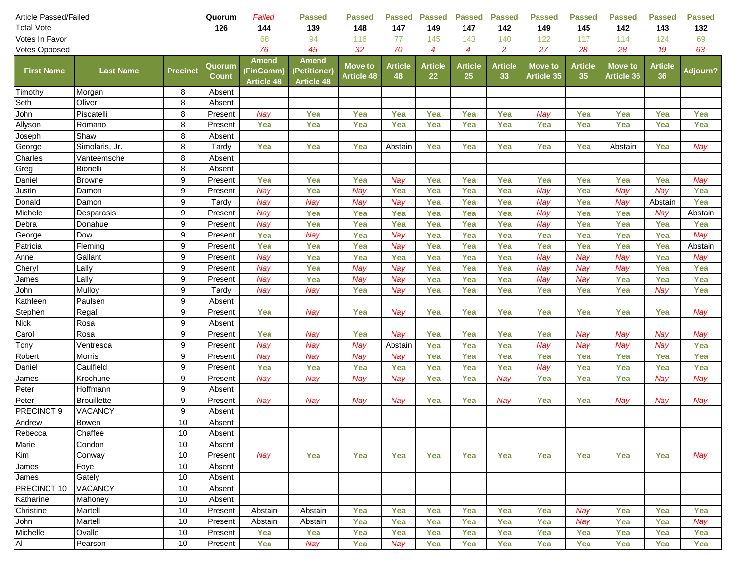| Article Passed/Failed |                    | Quorum          | Failed                 | <b>Passed</b>                           | <b>Passed</b>                                     | Passed                              | <b>Passed</b>        | <b>Passed</b>        | <b>Passed</b>        | <b>Passed</b>        | <b>Passed</b>                       | <b>Passed</b>        | <b>Passed</b>                       | <b>Passed</b>        |          |
|-----------------------|--------------------|-----------------|------------------------|-----------------------------------------|---------------------------------------------------|-------------------------------------|----------------------|----------------------|----------------------|----------------------|-------------------------------------|----------------------|-------------------------------------|----------------------|----------|
| <b>Total Vote</b>     |                    |                 | 126                    | 144                                     | 139                                               | 148                                 | 147                  | 149                  | 147                  | 142                  | 149                                 | 145                  | 142                                 | 143                  | 132      |
| Votes In Favor        |                    |                 |                        | 68                                      | 94                                                | 116                                 | 77                   | 145                  | 143                  | 140                  | 122                                 | 117                  | 114                                 | 124                  | 69       |
| Votes Opposed         |                    |                 |                        | 76                                      | 45                                                | 32                                  | 70                   | $\boldsymbol{4}$     | $\overline{4}$       | $\overline{c}$       | 27                                  | 28                   | 28                                  | 19                   | 63       |
| <b>First Name</b>     | <b>Last Name</b>   | <b>Precinct</b> | Quorum<br><b>Count</b> | Amend<br>(FinComm)<br><b>Article 48</b> | <b>Amend</b><br>(Petitioner)<br><b>Article 48</b> | <b>Move to</b><br><b>Article 48</b> | <b>Article</b><br>48 | <b>Article</b><br>22 | <b>Article</b><br>25 | <b>Article</b><br>33 | <b>Move to</b><br><b>Article 35</b> | <b>Article</b><br>35 | <b>Move to</b><br><b>Article 36</b> | <b>Article</b><br>36 | Adjourn? |
| Timothy               | Morgan             | 8               | Absent                 |                                         |                                                   |                                     |                      |                      |                      |                      |                                     |                      |                                     |                      |          |
| Seth                  | Oliver             | 8               | Absent                 |                                         |                                                   |                                     |                      |                      |                      |                      |                                     |                      |                                     |                      |          |
| John                  | Piscatelli         | 8               | Present                | Nay                                     | Yea                                               | Yea                                 | Yea                  | Yea                  | Yea                  | Yea                  | Nay                                 | Yea                  | Yea                                 | Yea                  | Yea      |
| Allyson               | Romano             | 8               | Present                | Yea                                     | Yea                                               | Yea                                 | Yea                  | Yea                  | Yea                  | Yea                  | Yea                                 | Yea                  | Yea                                 | Yea                  | Yea      |
| Joseph                | Shaw               | 8               | Absent                 |                                         |                                                   |                                     |                      |                      |                      |                      |                                     |                      |                                     |                      |          |
| George                | Simolaris, Jr.     | 8               | Tardy                  | Yea                                     | Yea                                               | Yea                                 | Abstain              | Yea                  | Yea                  | Yea                  | Yea                                 | Yea                  | Abstain                             | Yea                  | Nay      |
| Charles               | Vanteemsche        | 8               | Absent                 |                                         |                                                   |                                     |                      |                      |                      |                      |                                     |                      |                                     |                      |          |
| Greg                  | Bionelli           | 8               | Absent                 |                                         |                                                   |                                     |                      |                      |                      |                      |                                     |                      |                                     |                      |          |
| Daniel                | <b>Browne</b>      | 9               | Present                | Yea                                     | Yea                                               | Yea                                 | Nay                  | Yea                  | Yea                  | Yea                  | Yea                                 | Yea                  | Yea                                 | Yea                  | Nay      |
| Justin                | Damon              | 9               | Present                | Nay                                     | Yea                                               | Nay                                 | Yea                  | Yea                  | Yea                  | Yea                  | Nay                                 | Yea                  | Nay                                 | Nay                  | Yea      |
| Donald                | Damon              | 9               | Tardy                  | Nay                                     | Nay                                               | Nay                                 | Nay                  | Yea                  | Yea                  | Yea                  | Nay                                 | Yea                  | Nay                                 | Abstain              | Yea      |
| Michele               | Desparasis         | 9               | Present                | Nay                                     | Yea                                               | Yea                                 | Yea                  | Yea                  | Yea                  | Yea                  | Nay                                 | Yea                  | Yea                                 | Nay                  | Abstain  |
| Debra                 | Donahue            | 9               | Present                | Nay                                     | Yea                                               | Yea                                 | Yea                  | Yea                  | Yea                  | Yea                  | Nay                                 | Yea                  | Yea                                 | Yea                  | Yea      |
| George                | Dow                | 9               | Present                | Yea                                     | Nay                                               | Yea                                 | Nay                  | Yea                  | Yea                  | Yea                  | Yea                                 | Yea                  | Yea                                 | Yea                  | Nay      |
| Patricia              | Fleming            | 9               | Present                | Yea                                     | Yea                                               | Yea                                 | Nay                  | Yea                  | Yea                  | Yea                  | Yea                                 | Yea                  | Yea                                 | Yea                  | Abstain  |
| Anne                  | Gallant            | 9               | Present                | Nay                                     | Yea                                               | Yea                                 | Yea                  | Yea                  | Yea                  | Yea                  | Nay                                 | Nay                  | Nay                                 | Yea                  | Nay      |
| Cheryl                | Lally              | 9               | Present                | Nay                                     | Yea                                               | Nay                                 | Nay                  | Yea                  | Yea                  | Yea                  | Nay                                 | Nay                  | Nay                                 | Yea                  | Yea      |
| James                 | Lally              | 9               | Present                | Nay                                     | Yea                                               | Nay                                 | Nay                  | Yea                  | Yea                  | Yea                  | Nay                                 | Nay                  | Yea                                 | Yea                  | Yea      |
| John                  | Mulloy             | 9               | Tardy                  | Nay                                     | Nay                                               | Yea                                 | Nay                  | Yea                  | Yea                  | Yea                  | Yea                                 | Yea                  | Yea                                 | Nay                  | Yea      |
| Kathleen              | Paulsen            | 9               | Absent                 |                                         |                                                   |                                     |                      |                      |                      |                      |                                     |                      |                                     |                      |          |
| Stephen               | Regal              | 9               | Present                | Yea                                     | Nay                                               | Yea                                 | Nay                  | Yea                  | Yea                  | Yea                  | Yea                                 | Yea                  | Yea                                 | Yea                  | Nay      |
| <b>Nick</b>           | Rosa               | 9               | Absent                 |                                         |                                                   |                                     |                      |                      |                      |                      |                                     |                      |                                     |                      |          |
| Carol                 | Rosa               | 9               | Present                | Yea                                     | Nay                                               | Yea                                 | Nay                  | Yea                  | Yea                  | Yea                  | Yea                                 | Nay                  | Nay                                 | Nay                  | Nay      |
| Tony                  | Ventresca          | 9               | Present                | Nay                                     | Nay                                               | Nay                                 | Abstain              | Yea                  | Yea                  | Yea                  | Nay                                 | Nav                  | Nay                                 | Nay                  | Yea      |
| Robert                | Morris             | 9               | Present                | Nay                                     | Nay                                               | Nay                                 | Nay                  | Yea                  | Yea                  | Yea                  | Yea                                 | Yea                  | Yea                                 | Yea                  | Yea      |
| Daniel                | Caulfield          | 9               | Present                | Yea                                     | Yea                                               | Yea                                 | Yea                  | Yea                  | Yea                  | Yea                  | Nay                                 | Yea                  | Yea                                 | Yea                  | Yea      |
| James                 | Krochune           | 9               | Present                | Nay                                     | Nay                                               | Nay                                 | Nay                  | Yea                  | Yea                  | Nay                  | Yea                                 | Yea                  | Yea                                 | Nay                  | Nay      |
| Peter                 | Hoffmann           | 9               | Absent                 |                                         |                                                   |                                     |                      |                      |                      |                      |                                     |                      |                                     |                      |          |
| Peter                 | <b>Brouillette</b> | 9               | Present                | Nay                                     | Nay                                               | Nay                                 | Nay                  | Yea                  | Yea                  | Nay                  | Yea                                 | Yea                  | Nay                                 | Nay                  | Nay      |
| PRECINCT 9            | VACANCY            | 9               | Absent                 |                                         |                                                   |                                     |                      |                      |                      |                      |                                     |                      |                                     |                      |          |
| Andrew                | Bowen              | 10              | Absent                 |                                         |                                                   |                                     |                      |                      |                      |                      |                                     |                      |                                     |                      |          |
| Rebecca               | Chaffee            | 10              | Absent                 |                                         |                                                   |                                     |                      |                      |                      |                      |                                     |                      |                                     |                      |          |
| Marie                 | Condon             | 10              | Absent                 |                                         |                                                   |                                     |                      |                      |                      |                      |                                     |                      |                                     |                      |          |
| Kim                   | Conway             | 10              | Present                | Nay                                     | Yea                                               | Yea                                 | Yea                  | Yea                  | Yea                  | Yea                  | Yea                                 | Yea                  | Yea                                 | Yea                  | Nay      |
| James                 | Foye               | 10              | Absent                 |                                         |                                                   |                                     |                      |                      |                      |                      |                                     |                      |                                     |                      |          |
| James                 | Gately             | 10              | Absent                 |                                         |                                                   |                                     |                      |                      |                      |                      |                                     |                      |                                     |                      |          |
| PRECINCT 10           | <b>VACANCY</b>     | 10              | Absent                 |                                         |                                                   |                                     |                      |                      |                      |                      |                                     |                      |                                     |                      |          |
| Katharine             | Mahoney            | 10              | Absent                 |                                         |                                                   |                                     |                      |                      |                      |                      |                                     |                      |                                     |                      |          |
| Christine             | Martell            | 10              | Present                | Abstain                                 | Abstain                                           | Yea                                 | Yea                  | Yea                  | Yea                  | Yea                  | Yea                                 | Nay                  | Yea                                 | Yea                  | Yea      |
| John                  | Martell            | 10              | Present                | Abstain                                 | Abstain                                           | Yea                                 | Yea                  | Yea                  | Yea                  | Yea                  | Yea                                 | Nay                  | Yea                                 | Yea                  | Nay      |
| Michelle              | Ovalle             | 10              | Present                | Yea                                     | Yea                                               | Yea                                 | Yea                  | Yea                  | Yea                  | Yea                  | Yea                                 | Yea                  | Yea                                 | Yea                  | Yea      |
| Al                    | Pearson            | 10              | Present                | Yea                                     | Nay                                               | Yea                                 | Nay                  | Yea                  | Yea                  | Yea                  | Yea                                 | Yea                  | Yea                                 | Yea                  | Yea      |